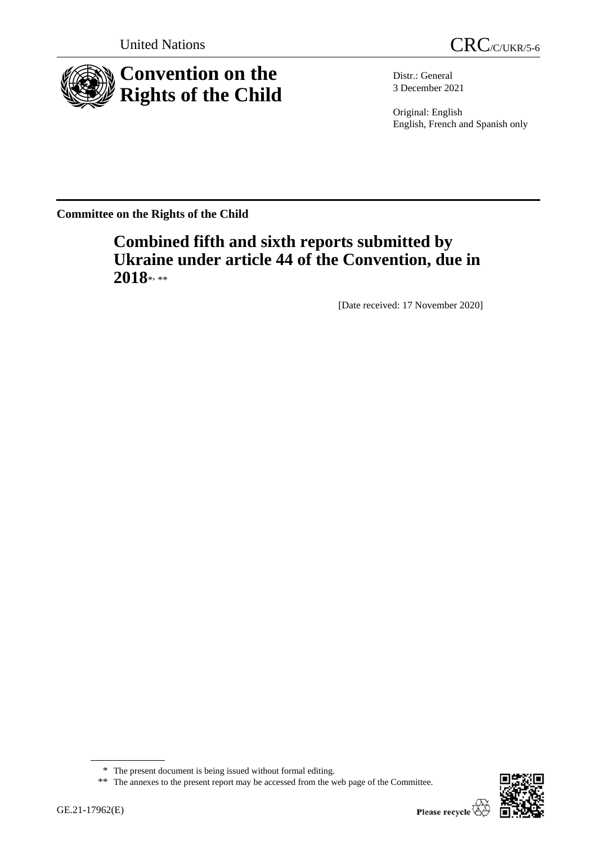



Distr.: General 3 December 2021

Original: English English, French and Spanish only

**Committee on the Rights of the Child**

# **Combined fifth and sixth reports submitted by Ukraine under article 44 of the Convention, due in**  2018\*<sub>\*\*</sub>

[Date received: 17 November 2020]



<sup>\*</sup> The present document is being issued without formal editing.

<sup>\*\*</sup> The annexes to the present report may be accessed from the web page of the Committee.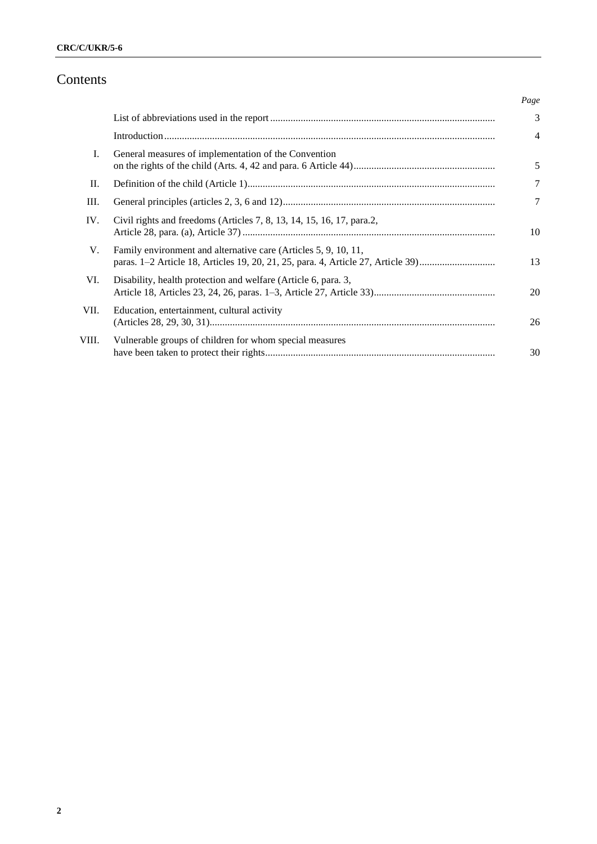# Contents

|       |                                                                                                                                                     | Page           |
|-------|-----------------------------------------------------------------------------------------------------------------------------------------------------|----------------|
|       |                                                                                                                                                     | $\mathcal{E}$  |
|       |                                                                                                                                                     | $\overline{4}$ |
| I.    | General measures of implementation of the Convention                                                                                                | 5              |
| П.    |                                                                                                                                                     | 7              |
| Ш.    |                                                                                                                                                     | $\overline{7}$ |
| IV.   | Civil rights and freedoms (Articles 7, 8, 13, 14, 15, 16, 17, para.2,                                                                               | 10             |
| V.    | Family environment and alternative care (Articles 5, 9, 10, 11,<br>paras. 1–2 Article 18, Articles 19, 20, 21, 25, para. 4, Article 27, Article 39) | 13             |
| VI.   | Disability, health protection and welfare (Article 6, para. 3,                                                                                      | 20             |
| VII.  | Education, entertainment, cultural activity                                                                                                         | 26             |
| VIII. | Vulnerable groups of children for whom special measures                                                                                             | 30             |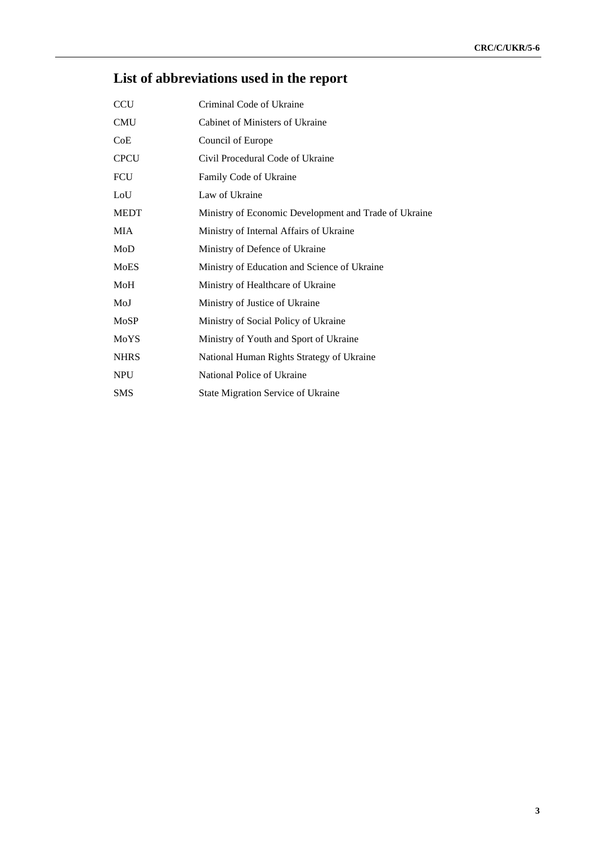# **List of abbreviations used in the report**

| <b>CCU</b>  | Criminal Code of Ukraine                              |
|-------------|-------------------------------------------------------|
| <b>CMU</b>  | Cabinet of Ministers of Ukraine                       |
| CoE         | Council of Europe                                     |
| <b>CPCU</b> | Civil Procedural Code of Ukraine                      |
| <b>FCU</b>  | Family Code of Ukraine                                |
| LoU         | Law of Ukraine                                        |
| <b>MEDT</b> | Ministry of Economic Development and Trade of Ukraine |
| MIA         | Ministry of Internal Affairs of Ukraine               |
| MoD         | Ministry of Defence of Ukraine                        |
| <b>MoES</b> | Ministry of Education and Science of Ukraine          |
| MoH         | Ministry of Healthcare of Ukraine                     |
| MoJ         | Ministry of Justice of Ukraine                        |
| MoSP        | Ministry of Social Policy of Ukraine                  |
| MoYS        | Ministry of Youth and Sport of Ukraine                |
| <b>NHRS</b> | National Human Rights Strategy of Ukraine             |
| <b>NPU</b>  | National Police of Ukraine                            |
| SMS         | <b>State Migration Service of Ukraine</b>             |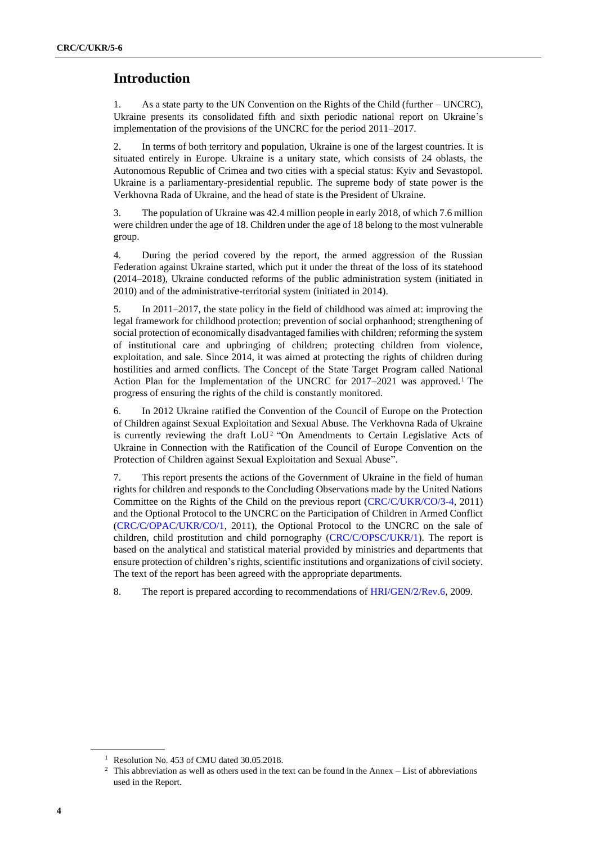# **Introduction**

1. As a state party to the UN Convention on the Rights of the Child (further – UNCRC), Ukraine presents its consolidated fifth and sixth periodic national report on Ukraine's implementation of the provisions of the UNCRC for the period 2011–2017.

2. In terms of both territory and population, Ukraine is one of the largest countries. It is situated entirely in Europe. Ukraine is a unitary state, which consists of 24 oblasts, the Autonomous Republic of Crimea and two cities with a special status: Kyiv and Sevastopol. Ukraine is a parliamentary-presidential republic. The supreme body of state power is the Verkhovna Rada of Ukraine, and the head of state is the President of Ukraine.

3. The population of Ukraine was 42.4 million people in early 2018, of which 7.6 million were children under the age of 18. Children under the age of 18 belong to the most vulnerable group.

4. During the period covered by the report, the armed aggression of the Russian Federation against Ukraine started, which put it under the threat of the loss of its statehood (2014–2018), Ukraine conducted reforms of the public administration system (initiated in 2010) and of the administrative-territorial system (initiated in 2014).

5. In 2011–2017, the state policy in the field of childhood was aimed at: improving the legal framework for childhood protection; prevention of social orphanhood; strengthening of social protection of economically disadvantaged families with children; reforming the system of institutional care and upbringing of children; protecting children from violence, exploitation, and sale. Since 2014, it was aimed at protecting the rights of children during hostilities and armed conflicts. The Concept of the State Target Program called National Action Plan for the Implementation of the UNCRC for 2017–2021 was approved.<sup>1</sup> The progress of ensuring the rights of the child is constantly monitored.

6. In 2012 Ukraine ratified the Convention of the Council of Europe on the Protection of Children against Sexual Exploitation and Sexual Abuse. The Verkhovna Rada of Ukraine is currently reviewing the draft LoU<sup>2</sup> "On Amendments to Certain Legislative Acts of Ukraine in Connection with the Ratification of the Council of Europe Convention on the Protection of Children against Sexual Exploitation and Sexual Abuse".

7. This report presents the actions of the Government of Ukraine in the field of human rights for children and responds to the Concluding Observations made by the United Nations Committee on the Rights of the Child on the previous report [\(CRC/C/UKR/CO/3-4,](http://undocs.org/en/CRC/C/UKR/CO/3-4) 2011) and the Optional Protocol to the UNCRC on the Participation of Children in Armed Conflict [\(CRC/C/OPAC/UKR/CO/1,](http://undocs.org/en/CRC/C/OPAC/UKR/CO/1) 2011), the Optional Protocol to the UNCRC on the sale of children, child prostitution and child pornography [\(CRC/C/OPSC/UKR/1\)](http://undocs.org/en/CRC/C/OPSC/UKR/1). The report is based on the analytical and statistical material provided by ministries and departments that ensure protection of children's rights, scientific institutions and organizations of civil society. The text of the report has been agreed with the appropriate departments.

8. The report is prepared according to recommendations of [HRI/GEN/2/Rev.6,](http://undocs.org/en/HRI/GEN/2/Rev.6) 2009.

<sup>&</sup>lt;sup>1</sup> Resolution No. 453 of CMU dated 30.05.2018.

<sup>&</sup>lt;sup>2</sup> This abbreviation as well as others used in the text can be found in the Annex – List of abbreviations used in the Report.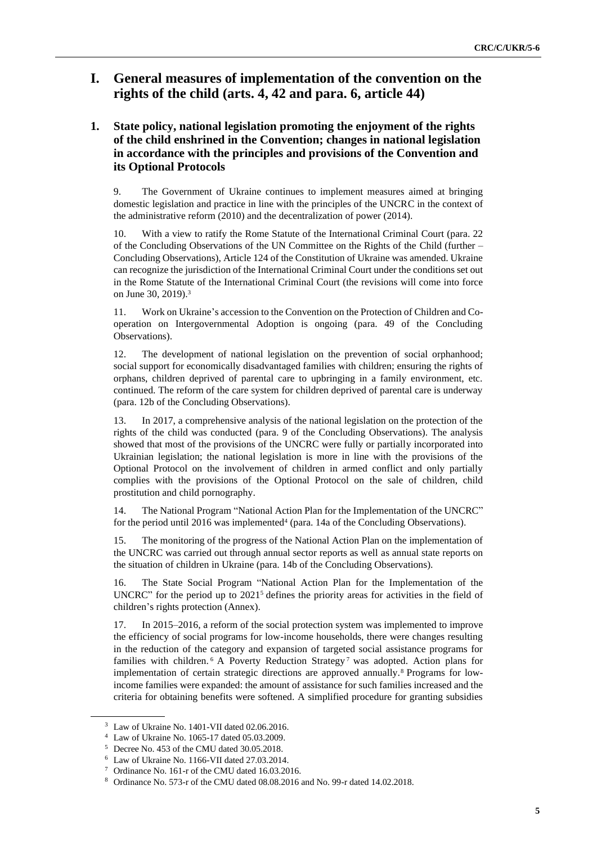# **I. General measures of implementation of the convention on the rights of the child (arts. 4, 42 and para. 6, article 44)**

# **1. State policy, national legislation promoting the enjoyment of the rights of the child enshrined in the Convention; changes in national legislation in accordance with the principles and provisions of the Convention and its Optional Protocols**

9. The Government of Ukraine continues to implement measures aimed at bringing domestic legislation and practice in line with the principles of the UNCRC in the context of the administrative reform (2010) and the decentralization of power (2014).

10. With a view to ratify the Rome Statute of the International Criminal Court (para. 22 of the Concluding Observations of the UN Committee on the Rights of the Child (further – Concluding Observations), Article 124 of the Constitution of Ukraine was amended. Ukraine can recognize the jurisdiction of the International Criminal Court under the conditions set out in the Rome Statute of the International Criminal Court (the revisions will come into force on June 30, 2019).<sup>3</sup>

11. Work on Ukraine's accession to the Convention on the Protection of Children and Cooperation on Intergovernmental Adoption is ongoing (para. 49 of the Concluding Observations).

12. The development of national legislation on the prevention of social orphanhood; social support for economically disadvantaged families with children; ensuring the rights of orphans, children deprived of parental care to upbringing in a family environment, etc. continued. The reform of the care system for children deprived of parental care is underway (para. 12b of the Concluding Observations).

13. In 2017, a comprehensive analysis of the national legislation on the protection of the rights of the child was conducted (para. 9 of the Concluding Observations). The analysis showed that most of the provisions of the UNCRC were fully or partially incorporated into Ukrainian legislation; the national legislation is more in line with the provisions of the Optional Protocol on the involvement of children in armed conflict and only partially complies with the provisions of the Optional Protocol on the sale of children, child prostitution and child pornography.

14. The National Program "National Action Plan for the Implementation of the UNCRC" for the period until 2016 was implemented<sup>4</sup> (para. 14a of the Concluding Observations).

15. The monitoring of the progress of the National Action Plan on the implementation of the UNCRC was carried out through annual sector reports as well as annual state reports on the situation of children in Ukraine (para. 14b of the Concluding Observations).

16. The State Social Program "National Action Plan for the Implementation of the UNCRC" for the period up to 2021<sup>5</sup> defines the priority areas for activities in the field of children's rights protection (Annex).

17. In 2015–2016, a reform of the social protection system was implemented to improve the efficiency of social programs for low-income households, there were changes resulting in the reduction of the category and expansion of targeted social assistance programs for families with children.  $6$  A Poverty Reduction Strategy<sup>7</sup> was adopted. Action plans for implementation of certain strategic directions are approved annually.<sup>8</sup> Programs for lowincome families were expanded: the amount of assistance for such families increased and the criteria for obtaining benefits were softened. A simplified procedure for granting subsidies

<sup>3</sup> Law of Ukraine No. 1401-VII dated 02.06.2016.

<sup>4</sup> Law of Ukraine No. 1065-17 dated 05.03.2009.

<sup>5</sup> Decree No. 453 of the CMU dated 30.05.2018.

<sup>6</sup> Law of Ukraine No. 1166-VII dated 27.03.2014.

<sup>7</sup> Ordinance No. 161-r of the CMU dated 16.03.2016.

<sup>8</sup> Ordinance No. 573-r of the CMU dated 08.08.2016 and No. 99-r dated 14.02.2018.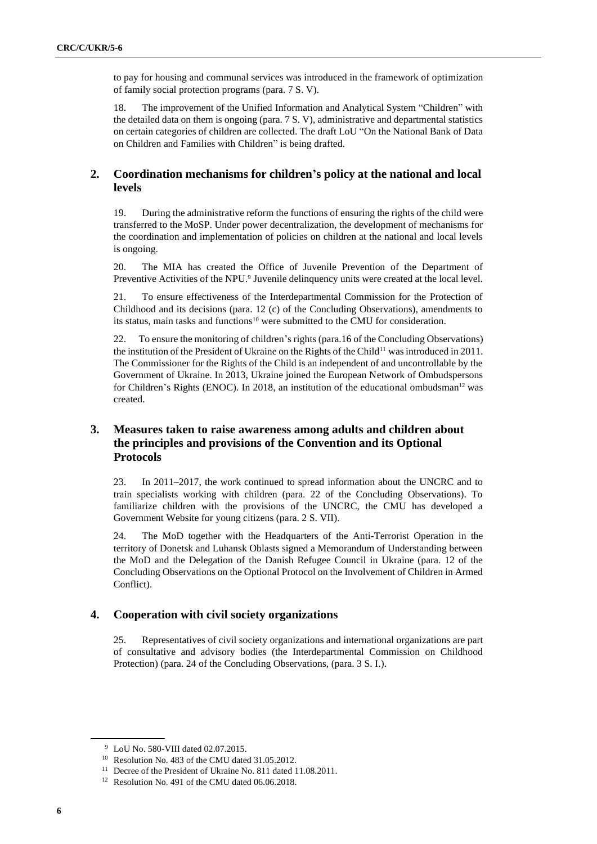to pay for housing and communal services was introduced in the framework of optimization of family social protection programs (para. 7 S. V).

18. The improvement of the Unified Information and Analytical System "Children" with the detailed data on them is ongoing (para. 7 S. V), administrative and departmental statistics on certain categories of children are collected. The draft LoU "On the National Bank of Data on Children and Families with Children" is being drafted.

## **2. Coordination mechanisms for children's policy at the national and local levels**

19. During the administrative reform the functions of ensuring the rights of the child were transferred to the MoSP. Under power decentralization, the development of mechanisms for the coordination and implementation of policies on children at the national and local levels is ongoing.

20. The MIA has created the Office of Juvenile Prevention of the Department of Preventive Activities of the NPU.<sup>9</sup> Juvenile delinquency units were created at the local level.

21. To ensure effectiveness of the Interdepartmental Commission for the Protection of Childhood and its decisions (para. 12 (c) of the Concluding Observations), amendments to its status, main tasks and functions<sup>10</sup> were submitted to the CMU for consideration.

22. To ensure the monitoring of children's rights (para.16 of the Concluding Observations) the institution of the President of Ukraine on the Rights of the Child<sup>11</sup> was introduced in 2011. The Commissioner for the Rights of the Child is an independent of and uncontrollable by the Government of Ukraine. In 2013, Ukraine joined the European Network of Ombudspersons for Children's Rights (ENOC). In 2018, an institution of the educational ombudsman<sup>12</sup> was created.

# **3. Measures taken to raise awareness among adults and children about the principles and provisions of the Convention and its Optional Protocols**

23. In 2011–2017, the work continued to spread information about the UNCRC and to train specialists working with children (para. 22 of the Concluding Observations). To familiarize children with the provisions of the UNCRC, the CMU has developed a Government Website for young citizens (para. 2 S. VII).

24. The MoD together with the Headquarters of the Anti-Terrorist Operation in the territory of Donetsk and Luhansk Oblasts signed a Memorandum of Understanding between the MoD and the Delegation of the Danish Refugee Council in Ukraine (para. 12 of the Concluding Observations on the Optional Protocol on the Involvement of Children in Armed Conflict).

### **4. Cooperation with civil society organizations**

25. Representatives of civil society organizations and international organizations are part of consultative and advisory bodies (the Interdepartmental Commission on Childhood Protection) (para. 24 of the Concluding Observations, (para. 3 S. I.).

<sup>&</sup>lt;sup>9</sup> LoU No. 580-VIII dated 02.07.2015.

<sup>&</sup>lt;sup>10</sup> Resolution No. 483 of the CMU dated 31.05.2012.

<sup>&</sup>lt;sup>11</sup> Decree of the President of Ukraine No. 811 dated 11.08.2011.

<sup>&</sup>lt;sup>12</sup> Resolution No. 491 of the CMU dated 06.06.2018.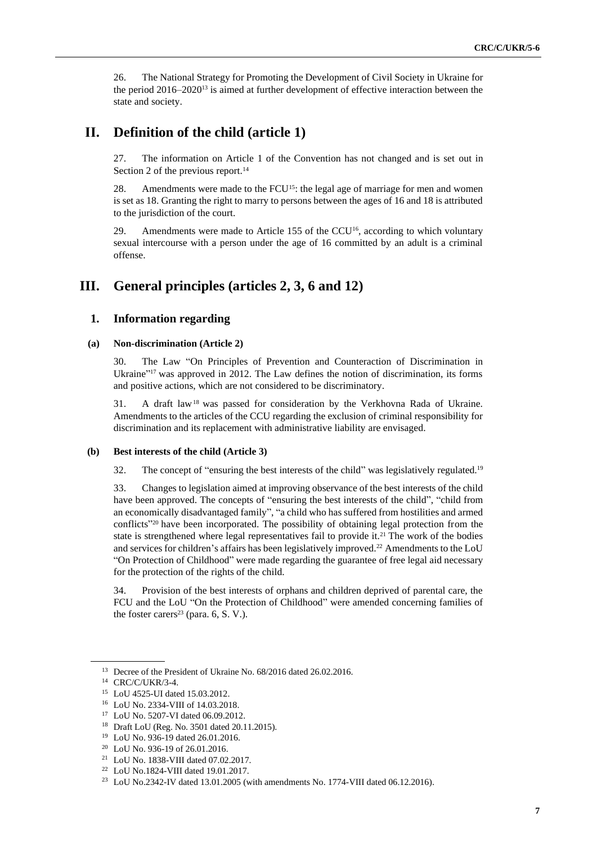26. The National Strategy for Promoting the Development of Civil Society in Ukraine for the period 2016–2020<sup>13</sup> is aimed at further development of effective interaction between the state and society.

# **ІІ. Definition of the child (article 1)**

27. The information on Article 1 of the Convention has not changed and is set out in Section 2 of the previous report.<sup>14</sup>

28. Amendments were made to the FCU<sup>15</sup>: the legal age of marriage for men and women is set as 18. Granting the right to marry to persons between the ages of 16 and 18 is attributed to the jurisdiction of the court.

29. Amendments were made to Article 155 of the CCU16, according to which voluntary sexual intercourse with a person under the age of 16 committed by an adult is a criminal offense.

# **III. General principles (articles 2, 3, 6 and 12)**

#### **1. Information regarding**

#### **(a) Non-discrimination (Article 2)**

30. The Law "On Principles of Prevention and Counteraction of Discrimination in Ukraine"<sup>17</sup> was approved in 2012. The Law defines the notion of discrimination, its forms and positive actions, which are not considered to be discriminatory.

31. A draft law<sup>18</sup> was passed for consideration by the Verkhovna Rada of Ukraine. Amendments to the articles of the CCU regarding the exclusion of criminal responsibility for discrimination and its replacement with administrative liability are envisaged.

#### **(b) Best interests of the child (Article 3)**

32. The concept of "ensuring the best interests of the child" was legislatively regulated.<sup>19</sup>

33. Changes to legislation aimed at improving observance of the best interests of the child have been approved. The concepts of "ensuring the best interests of the child", "child from an economically disadvantaged family", "a child who has suffered from hostilities and armed conflicts" <sup>20</sup> have been incorporated. The possibility of obtaining legal protection from the state is strengthened where legal representatives fail to provide it.<sup>21</sup> The work of the bodies and services for children's affairs has been legislatively improved.<sup>22</sup> Amendments to the LoU "On Protection of Childhood" were made regarding the guarantee of free legal aid necessary for the protection of the rights of the child.

34. Provision of the best interests of orphans and children deprived of parental care, the FCU and the LoU "On the Protection of Childhood" were amended concerning families of the foster carers<sup>23</sup> (para.  $6$ , S. V.).

<sup>&</sup>lt;sup>13</sup> Decree of the President of Ukraine No. 68/2016 dated 26.02.2016.

<sup>14</sup> CRC/C/UKR/3-4.

<sup>15</sup> LoU 4525-UI dated 15.03.2012.

<sup>16</sup> LoU No. 2334-VIII of 14.03.2018.

<sup>17</sup> LoU No. 5207-VI dated 06.09.2012.

<sup>18</sup> Draft LoU (Reg. No. 3501 dated 20.11.2015).

<sup>19</sup> LoU No. 936-19 dated 26.01.2016.

<sup>20</sup> LoU No. 936-19 of 26.01.2016.

<sup>21</sup> LoU No. 1838-VIII dated 07.02.2017.

<sup>22</sup> LoU No.1824-VIII dated 19.01.2017.

<sup>23</sup> LoU No.2342-IV dated 13.01.2005 (with amendments No. 1774-VIII dated 06.12.2016).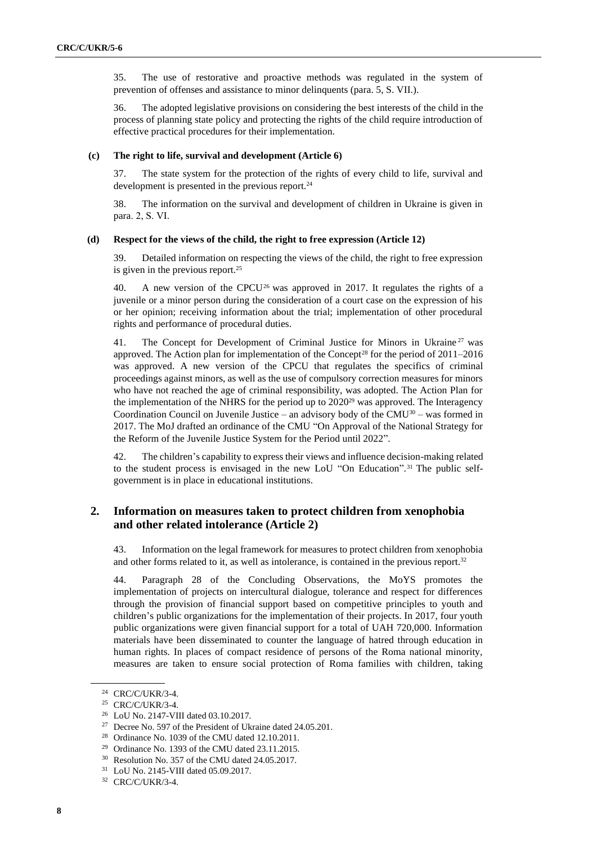35. The use of restorative and proactive methods was regulated in the system of prevention of offenses and assistance to minor delinquents (para. 5, S. VII.).

36. The adopted legislative provisions on considering the best interests of the child in the process of planning state policy and protecting the rights of the child require introduction of effective practical procedures for their implementation.

#### **(c) The right to life, survival and development (Article 6)**

37. The state system for the protection of the rights of every child to life, survival and development is presented in the previous report.<sup>24</sup>

38. The information on the survival and development of children in Ukraine is given in para. 2, S. VІ.

#### **(d) Respect for the views of the child, the right to free expression (Article 12)**

39. Detailed information on respecting the views of the child, the right to free expression is given in the previous report.<sup>25</sup>

40. A new version of the CPCU<sup>26</sup> was approved in 2017. It regulates the rights of a juvenile or a minor person during the consideration of a court case on the expression of his or her opinion; receiving information about the trial; implementation of other procedural rights and performance of procedural duties.

41. The Concept for Development of Criminal Justice for Minors in Ukraine<sup>27</sup> was approved. The Action plan for implementation of the Concept<sup>28</sup> for the period of  $2011-2016$ was approved. A new version of the CPCU that regulates the specifics of criminal proceedings against minors, as well as the use of compulsory correction measures for minors who have not reached the age of criminal responsibility, was adopted. The Action Plan for the implementation of the NHRS for the period up to  $2020^{29}$  was approved. The Interagency Coordination Council on Juvenile Justice – an advisory body of the  $CMU<sup>30</sup>$  – was formed in 2017. The MoJ drafted an ordinance of the CMU "On Approval of the National Strategy for the Reform of the Juvenile Justice System for the Period until 2022".

42. The children's capability to express their views and influence decision-making related to the student process is envisaged in the new LoU "On Education". <sup>31</sup> The public selfgovernment is in place in educational institutions.

# **2. Information on measures taken to protect children from xenophobia and other related intolerance (Article 2)**

43. Information on the legal framework for measures to protect children from xenophobia and other forms related to it, as well as intolerance, is contained in the previous report.<sup>32</sup>

44. Paragraph 28 of the Concluding Observations, the MoYS promotes the implementation of projects on intercultural dialogue, tolerance and respect for differences through the provision of financial support based on competitive principles to youth and children's public organizations for the implementation of their projects. In 2017, four youth public organizations were given financial support for a total of UAH 720,000. Information materials have been disseminated to counter the language of hatred through education in human rights. In places of compact residence of persons of the Roma national minority, measures are taken to ensure social protection of Roma families with children, taking

<sup>24</sup> CRC/C/UKR/3-4.

<sup>25</sup> CRC/C/UKR/3-4.

<sup>26</sup> LoU No. 2147-VIII dated 03.10.2017.

<sup>27</sup> Decree No. 597 of the President of Ukraine dated 24.05.201.

<sup>28</sup> Ordinance No. 1039 of the CMU dated 12.10.2011.

 $29$  Ordinance No. 1393 of the CMU dated 23.11.2015.

<sup>30</sup> Resolution No. 357 of the CMU dated 24.05.2017.

<sup>31</sup> LoU No. 2145-VIII dated 05.09.2017.

<sup>32</sup> CRC/C/UKR/3-4.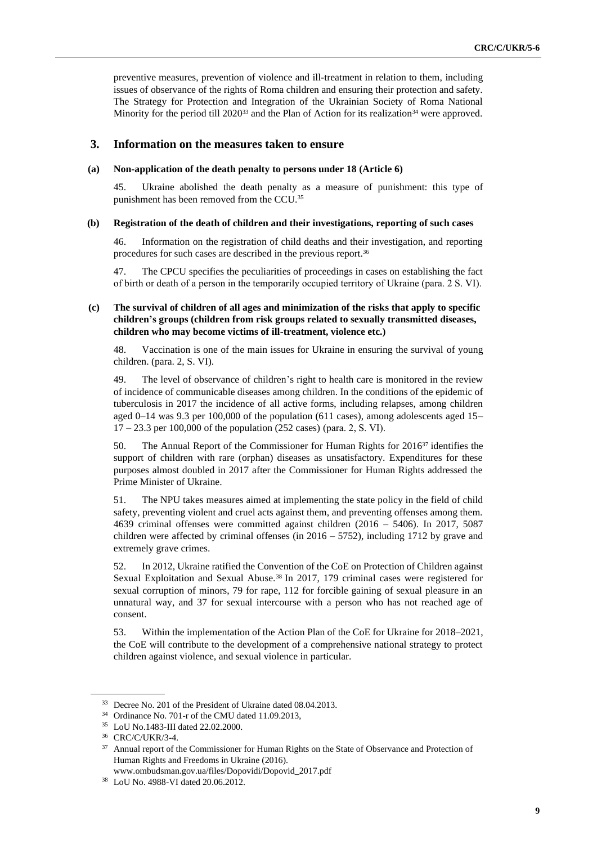preventive measures, prevention of violence and ill-treatment in relation to them, including issues of observance of the rights of Roma children and ensuring their protection and safety. The Strategy for Protection and Integration of the Ukrainian Society of Roma National Minority for the period till 2020<sup>33</sup> and the Plan of Action for its realization<sup>34</sup> were approved.

#### **3. Information on the measures taken to ensure**

#### **(a) Non-application of the death penalty to persons under 18 (Article 6)**

45. Ukraine abolished the death penalty as a measure of punishment: this type of punishment has been removed from the CCU.<sup>35</sup>

#### **(b) Registration of the death of children and their investigations, reporting of such cases**

46. Information on the registration of child deaths and their investigation, and reporting procedures for such cases are described in the previous report.<sup>36</sup>

47. The CPCU specifies the peculiarities of proceedings in cases on establishing the fact of birth or death of a person in the temporarily occupied territory of Ukraine (para. 2 S. VІ).

#### **(c) The survival of children of all ages and minimization of the risks that apply to specific children's groups (children from risk groups related to sexually transmitted diseases, children who may become victims of ill-treatment, violence etc.)**

48. Vaccination is one of the main issues for Ukraine in ensuring the survival of young children. (para. 2, S. VI).

49. The level of observance of children's right to health care is monitored in the review of incidence of communicable diseases among children. In the conditions of the epidemic of tuberculosis in 2017 the incidence of all active forms, including relapses, among children aged 0–14 was 9.3 per 100,000 of the population (611 cases), among adolescents aged 15– 17 – 23.3 per 100,000 of the population (252 cases) (para. 2, S. VІ).

50. The Annual Report of the Commissioner for Human Rights for 2016<sup>37</sup> identifies the support of children with rare (orphan) diseases as unsatisfactory. Expenditures for these purposes almost doubled in 2017 after the Commissioner for Human Rights addressed the Prime Minister of Ukraine.

51. The NPU takes measures aimed at implementing the state policy in the field of child safety, preventing violent and cruel acts against them, and preventing offenses among them. 4639 criminal offenses were committed against children (2016 – 5406). In 2017, 5087 children were affected by criminal offenses (in  $2016 - 5752$ ), including 1712 by grave and extremely grave crimes.

52. In 2012, Ukraine ratified the Convention of the CoE on Protection of Children against Sexual Exploitation and Sexual Abuse.<sup>38</sup> In 2017, 179 criminal cases were registered for sexual corruption of minors, 79 for rape, 112 for forcible gaining of sexual pleasure in an unnatural way, and 37 for sexual intercourse with a person who has not reached age of consent.

53. Within the implementation of the Action Plan of the CoE for Ukraine for 2018–2021, the CoE will contribute to the development of a comprehensive national strategy to protect children against violence, and sexual violence in particular.

<sup>33</sup> Decree No. 201 of the President of Ukraine dated 08.04.2013.

<sup>34</sup> Ordinance No. 701-r of the CMU dated 11.09.2013,

<sup>35</sup> LoU No.1483-III dated 22.02.2000.

<sup>36</sup> CRC/C/UKR/3-4.

<sup>&</sup>lt;sup>37</sup> Annual report of the Commissioner for Human Rights on the State of Observance and Protection of Human Rights and Freedoms in Ukraine (2016).

www.ombudsman.gov.ua/files/Dopovidi/Dopovid\_2017.pdf

<sup>38</sup> LoU No. 4988-VI dated 20.06.2012.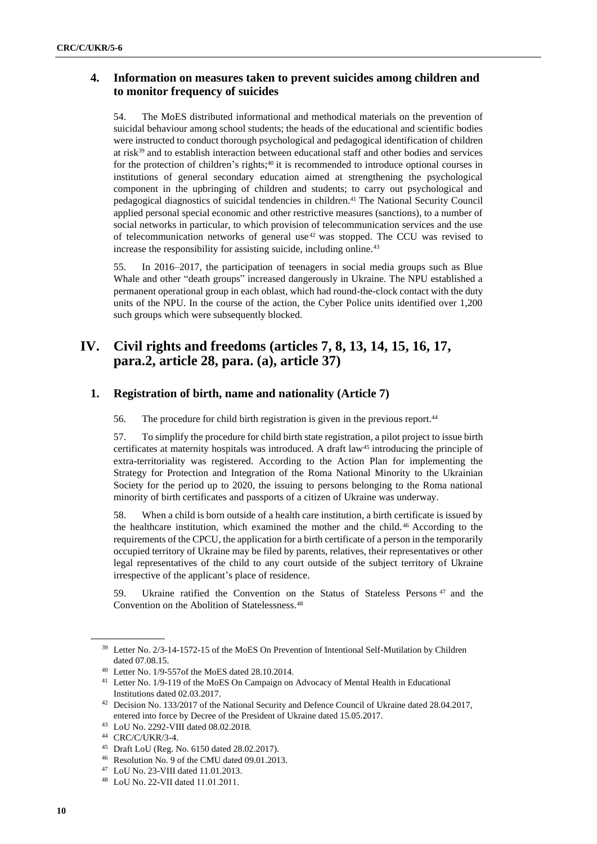# **4. Information on measures taken to prevent suicides among children and to monitor frequency of suicides**

54. The MoES distributed informational and methodical materials on the prevention of suicidal behaviour among school students; the heads of the educational and scientific bodies were instructed to conduct thorough psychological and pedagogical identification of children at risk<sup>39</sup> and to establish interaction between educational staff and other bodies and services for the protection of children's rights;<sup>40</sup> it is recommended to introduce optional courses in institutions of general secondary education aimed at strengthening the psychological component in the upbringing of children and students; to carry out psychological and pedagogical diagnostics of suicidal tendencies in children.<sup>41</sup> The National Security Council applied personal special economic and other restrictive measures (sanctions), to a number of social networks in particular, to which provision of telecommunication services and the use of telecommunication networks of general use<sup>42</sup> was stopped. The CCU was revised to increase the responsibility for assisting suicide, including online.<sup>43</sup>

55. In 2016–2017, the participation of teenagers in social media groups such as Blue Whale and other "death groups" increased dangerously in Ukraine. The NPU established a permanent operational group in each oblast, which had round-the-clock contact with the duty units of the NPU. In the course of the action, the Cyber Police units identified over 1,200 such groups which were subsequently blocked.

# **IV. Civil rights and freedoms (articles 7, 8, 13, 14, 15, 16, 17, para.2, article 28, para. (a), article 37)**

# **1. Registration of birth, name and nationality (Article 7)**

56. The procedure for child birth registration is given in the previous report.<sup>44</sup>

57. To simplify the procedure for child birth state registration, a pilot project to issue birth certificates at maternity hospitals was introduced. A draft law<sup>45</sup> introducing the principle of extra-territoriality was registered. According to the Action Plan for implementing the Strategy for Protection and Integration of the Roma National Minority to the Ukrainian Society for the period up to 2020, the issuing to persons belonging to the Roma national minority of birth certificates and passports of a citizen of Ukraine was underway.

58. When a child is born outside of a health care institution, a birth certificate is issued by the healthcare institution, which examined the mother and the child. <sup>46</sup> According to the requirements of the CPCU, the application for a birth certificate of a person in the temporarily occupied territory of Ukraine may be filed by parents, relatives, their representatives or other legal representatives of the child to any court outside of the subject territory of Ukraine irrespective of the applicant's place of residence.

59. Ukraine ratified the Convention on the Status of Stateless Persons <sup>47</sup> and the Convention on the Abolition of Statelessness.<sup>48</sup>

<sup>39</sup> Letter No. 2/3-14-1572-15 of the MoES On Prevention of Intentional Self-Mutilation by Children dated 07.08.15.

<sup>40</sup> Letter No. 1/9-557of the MoES dated 28.10.2014.

<sup>41</sup> Letter No. 1/9-119 of the MoES On Campaign on Advocacy of Mental Health in Educational Institutions dated 02.03.2017.

<sup>&</sup>lt;sup>42</sup> Decision No. 133/2017 of the National Security and Defence Council of Ukraine dated 28.04.2017, entered into force by Decree of the President of Ukraine dated 15.05.2017.

<sup>43</sup> LoU No. 2292-VIII dated 08.02.2018.

<sup>44</sup> CRC/C/UKR/3-4.

<sup>45</sup> Draft LoU (Reg. No. 6150 dated 28.02.2017).

<sup>46</sup> Resolution No. 9 of the CMU dated 09.01.2013.

<sup>47</sup> LoU No. 23-VIII dated 11.01.2013.

<sup>48</sup> LoU No. 22-VІІ dated 11.01.2011.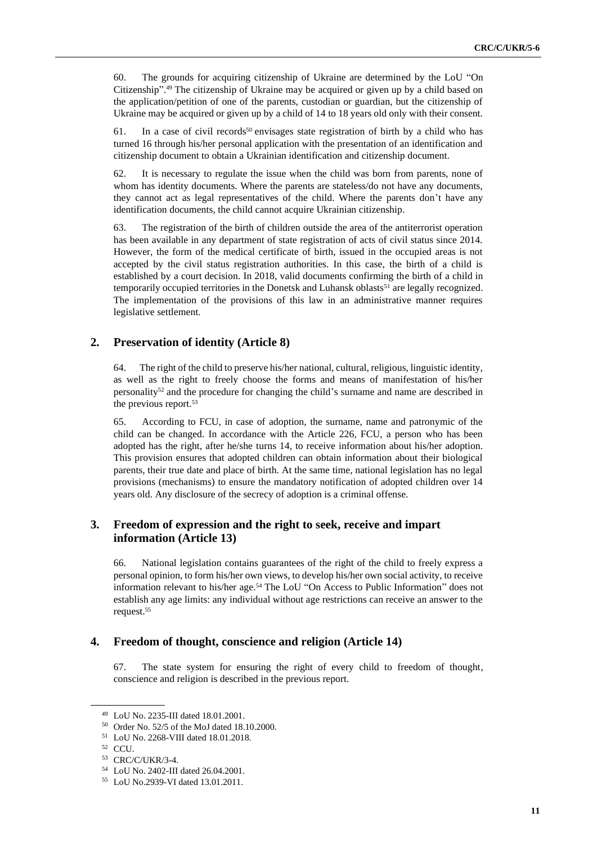60. The grounds for acquiring citizenship of Ukraine are determined by the LoU "On Citizenship". <sup>49</sup> The citizenship of Ukraine may be acquired or given up by a child based on the application/petition of one of the parents, custodian or guardian, but the citizenship of Ukraine may be acquired or given up by a child of 14 to 18 years old only with their consent.

61. In a case of civil records<sup>50</sup> envisages state registration of birth by a child who has turned 16 through his/her personal application with the presentation of an identification and citizenship document to obtain a Ukrainian identification and citizenship document.

62. It is necessary to regulate the issue when the child was born from parents, none of whom has identity documents. Where the parents are stateless/do not have any documents, they cannot act as legal representatives of the child. Where the parents don't have any identification documents, the child cannot acquire Ukrainian citizenship.

63. The registration of the birth of children outside the area of the antiterrorist operation has been available in any department of state registration of acts of civil status since 2014. However, the form of the medical certificate of birth, issued in the occupied areas is not accepted by the civil status registration authorities. In this case, the birth of a child is established by a court decision. In 2018, valid documents confirming the birth of a child in temporarily occupied territories in the Donetsk and Luhansk oblasts<sup>51</sup> are legally recognized. The implementation of the provisions of this law in an administrative manner requires legislative settlement.

#### **2. Preservation of identity (Article 8)**

64. The right of the child to preserve his/her national, cultural, religious, linguistic identity, as well as the right to freely choose the forms and means of manifestation of his/her personality<sup>52</sup> and the procedure for changing the child's surname and name are described in the previous report.<sup>53</sup>

65. According to FCU, in case of adoption, the surname, name and patronymic of the child can be changed. In accordance with the Article 226, FCU, a person who has been adopted has the right, after he/she turns 14, to receive information about his/her adoption. This provision ensures that adopted children can obtain information about their biological parents, their true date and place of birth. At the same time, national legislation has no legal provisions (mechanisms) to ensure the mandatory notification of adopted children over 14 years old. Any disclosure of the secrecy of adoption is a criminal offense.

# **3. Freedom of expression and the right to seek, receive and impart information (Article 13)**

66. National legislation contains guarantees of the right of the child to freely express a personal opinion, to form his/her own views, to develop his/her own social activity, to receive information relevant to his/her age.<sup>54</sup> The LoU "On Access to Public Information" does not establish any age limits: any individual without age restrictions can receive an answer to the request.<sup>55</sup>

## **4. Freedom of thought, conscience and religion (Article 14)**

67. The state system for ensuring the right of every child to freedom of thought, conscience and religion is described in the previous report.

<sup>49</sup> LoU No. 2235-III dated 18.01.2001.

<sup>50</sup> Order No. 52/5 of the MoJ dated 18.10.2000.

<sup>51</sup> LoU No. 2268-VIII dated 18.01.2018.

<sup>52</sup> CCU.

<sup>53</sup> CRC/C/UKR/3-4.

<sup>54</sup> LoU No. 2402-III dated 26.04.2001.

<sup>55</sup> LoU No.2939-VI dated 13.01.2011.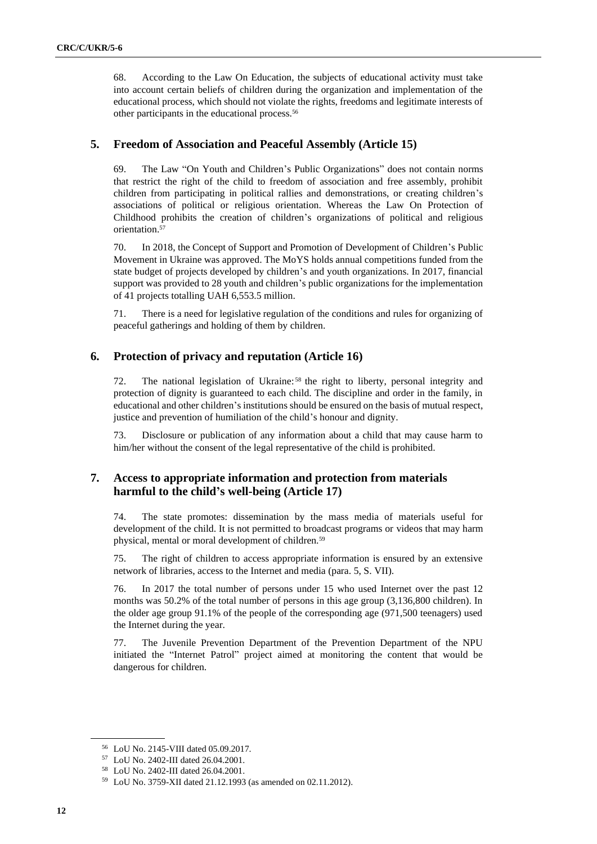68. According to the Law On Education, the subjects of educational activity must take into account certain beliefs of children during the organization and implementation of the educational process, which should not violate the rights, freedoms and legitimate interests of other participants in the educational process.<sup>56</sup>

# **5. Freedom of Association and Peaceful Assembly (Article 15)**

69. The Law "On Youth and Children's Public Organizations" does not contain norms that restrict the right of the child to freedom of association and free assembly, prohibit children from participating in political rallies and demonstrations, or creating children's associations of political or religious orientation. Whereas the Law On Protection of Childhood prohibits the creation of children's organizations of political and religious orientation.<sup>57</sup>

70. In 2018, the Concept of Support and Promotion of Development of Children's Public Movement in Ukraine was approved. The MoYS holds annual competitions funded from the state budget of projects developed by children's and youth organizations. In 2017, financial support was provided to 28 youth and children's public organizations for the implementation of 41 projects totalling UAH 6,553.5 million.

71. There is a need for legislative regulation of the conditions and rules for organizing of peaceful gatherings and holding of them by children.

# **6. Protection of privacy and reputation (Article 16)**

72. The national legislation of Ukraine: <sup>58</sup> the right to liberty, personal integrity and protection of dignity is guaranteed to each child. The discipline and order in the family, in educational and other children's institutions should be ensured on the basis of mutual respect, justice and prevention of humiliation of the child's honour and dignity.

73. Disclosure or publication of any information about a child that may cause harm to him/her without the consent of the legal representative of the child is prohibited.

## **7. Access to appropriate information and protection from materials harmful to the child's well-being (Article 17)**

74. The state promotes: dissemination by the mass media of materials useful for development of the child. It is not permitted to broadcast programs or videos that may harm physical, mental or moral development of children.<sup>59</sup>

75. The right of children to access appropriate information is ensured by an extensive network of libraries, access to the Internet and media (para. 5, S. VII).

76. In 2017 the total number of persons under 15 who used Internet over the past 12 months was 50.2% of the total number of persons in this age group (3,136,800 children). In the older age group 91.1% of the people of the corresponding age (971,500 teenagers) used the Internet during the year.

77. The Juvenile Prevention Department of the Prevention Department of the NPU initiated the "Internet Patrol" project aimed at monitoring the content that would be dangerous for children.

<sup>56</sup> LoU No. 2145-VIII dated 05.09.2017.

<sup>57</sup> LoU No. 2402-III dated 26.04.2001.

<sup>58</sup> LoU No. 2402-III dated 26.04.2001.

<sup>59</sup> LoU No. 3759-XII dated 21.12.1993 (as amended on 02.11.2012).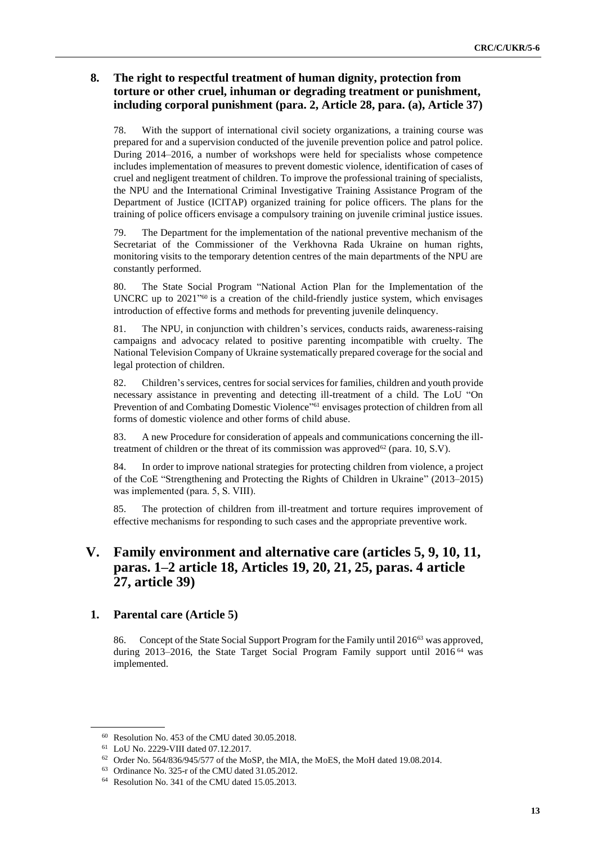# **8. The right to respectful treatment of human dignity, protection from torture or other cruel, inhuman or degrading treatment or punishment, including corporal punishment (para. 2, Article 28, para. (a), Article 37)**

78. With the support of international civil society organizations, a training course was prepared for and a supervision conducted of the juvenile prevention police and patrol police. During 2014–2016, a number of workshops were held for specialists whose competence includes implementation of measures to prevent domestic violence, identification of cases of cruel and negligent treatment of children. To improve the professional training of specialists, the NPU and the International Criminal Investigative Training Assistance Program of the Department of Justice (ICITAP) organized training for police officers. The plans for the training of police officers envisage a compulsory training on juvenile criminal justice issues.

79. The Department for the implementation of the national preventive mechanism of the Secretariat of the Commissioner of the Verkhovna Rada Ukraine on human rights, monitoring visits to the temporary detention centres of the main departments of the NPU are constantly performed.

80. The State Social Program "National Action Plan for the Implementation of the UNCRC up to  $2021^{\prime\prime}$  is a creation of the child-friendly justice system, which envisages introduction of effective forms and methods for preventing juvenile delinquency.

81. The NPU, in conjunction with children's services, conducts raids, awareness-raising campaigns and advocacy related to positive parenting incompatible with cruelty. The National Television Company of Ukraine systematically prepared coverage for the social and legal protection of children.

82. Children's services, centres for social services for families, children and youth provide necessary assistance in preventing and detecting ill-treatment of a child. The LoU "On Prevention of and Combating Domestic Violence"<sup>61</sup> envisages protection of children from all forms of domestic violence and other forms of child abuse.

83. A new Procedure for consideration of appeals and communications concerning the illtreatment of children or the threat of its commission was approved<sup>62</sup> (para. 10, S.V).

84. In order to improve national strategies for protecting children from violence, a project of the CoE "Strengthening and Protecting the Rights of Children in Ukraine" (2013–2015) was implemented (para. 5, S. VІІІ).

85. The protection of children from ill-treatment and torture requires improvement of effective mechanisms for responding to such cases and the appropriate preventive work.

# **V. Family environment and alternative care (articles 5, 9, 10, 11, paras. 1–2 article 18, Articles 19, 20, 21, 25, paras. 4 article 27, article 39)**

### **1. Parental care (Article 5)**

86. Concept of the State Social Support Program for the Family until 2016<sup>63</sup> was approved, during 2013–2016, the State Target Social Program Family support until 2016<sup>64</sup> was implemented.

<sup>60</sup> Resolution No. 453 of the CMU dated 30.05.2018.

<sup>61</sup> LoU No. 2229-VIII dated 07.12.2017.

<sup>62</sup> Order No. 564/836/945/577 of the MoSP, the MIA, the MoES, the MoH dated 19.08.2014.

<sup>63</sup> Ordinance No. 325-r of the CMU dated 31.05.2012.

<sup>64</sup> Resolution No. 341 of the CMU dated 15.05.2013.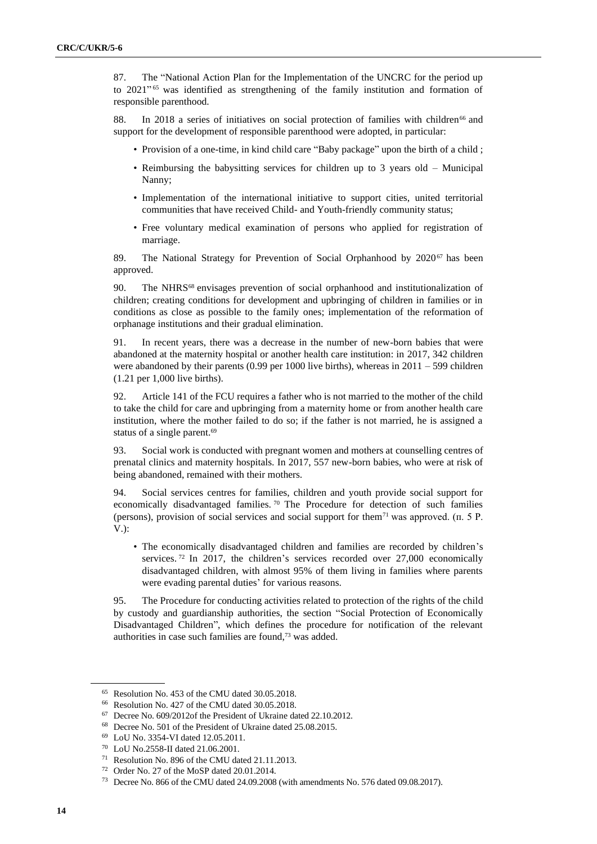87. The "National Action Plan for the Implementation of the UNCRC for the period up to 2021" <sup>65</sup> was identified as strengthening of the family institution and formation of responsible parenthood.

88. In 2018 a series of initiatives on social protection of families with children<sup>66</sup> and support for the development of responsible parenthood were adopted, in particular:

- Provision of a one-time, in kind child care "Baby package" upon the birth of a child ;
- Reimbursing the babysitting services for children up to 3 years old Municipal Nanny;
- Implementation of the international initiative to support cities, united territorial communities that have received Child- and Youth-friendly community status;
- Free voluntary medical examination of persons who applied for registration of marriage.

89. The National Strategy for Prevention of Social Orphanhood by 2020<sup>67</sup> has been approved.

90. The NHRS<sup>68</sup> envisages prevention of social orphanhood and institutionalization of children; creating conditions for development and upbringing of children in families or in conditions as close as possible to the family ones; implementation of the reformation of orphanage institutions and their gradual elimination.

91. In recent years, there was a decrease in the number of new-born babies that were abandoned at the maternity hospital or another health care institution: in 2017, 342 children were abandoned by their parents (0.99 per 1000 live births), whereas in 2011 – 599 children (1.21 per 1,000 live births).

92. Article 141 of the FCU requires a father who is not married to the mother of the child to take the child for care and upbringing from a maternity home or from another health care institution, where the mother failed to do so; if the father is not married, he is assigned a status of a single parent.<sup>69</sup>

93. Social work is conducted with pregnant women and mothers at counselling centres of prenatal clinics and maternity hospitals. In 2017, 557 new-born babies, who were at risk of being abandoned, remained with their mothers.

94. Social services centres for families, children and youth provide social support for economically disadvantaged families.<sup>70</sup> The Procedure for detection of such families (persons), provision of social services and social support for them<sup>71</sup> was approved. (п. 5 Р. V.):

• The economically disadvantaged children and families are recorded by children's services.<sup>72</sup> In 2017, the children's services recorded over 27,000 economically disadvantaged children, with almost 95% of them living in families where parents were evading parental duties' for various reasons.

95. The Procedure for conducting activities related to protection of the rights of the child by custody and guardianship authorities, the section "Social Protection of Economically Disadvantaged Children", which defines the procedure for notification of the relevant authorities in case such families are found,<sup>73</sup> was added.

<sup>65</sup> Resolution No. 453 of the CMU dated 30.05.2018.

<sup>66</sup> Resolution No. 427 of the CMU dated 30.05.2018.

<sup>67</sup> Decree No. 609/2012of the President of Ukraine dated 22.10.2012.

<sup>68</sup> Decree No. 501 of the President of Ukraine dated 25.08.2015.

<sup>69</sup> LoU No. 3354-VI dated 12.05.2011.

<sup>70</sup> LoU No.2558-II dated 21.06.2001.

<sup>71</sup> Resolution No. 896 of the CMU dated 21.11.2013.

<sup>72</sup> Order No. 27 of the MoSP dated 20.01.2014.

<sup>73</sup> Decree No. 866 of the CMU dated 24.09.2008 (with amendments No. 576 dated 09.08.2017).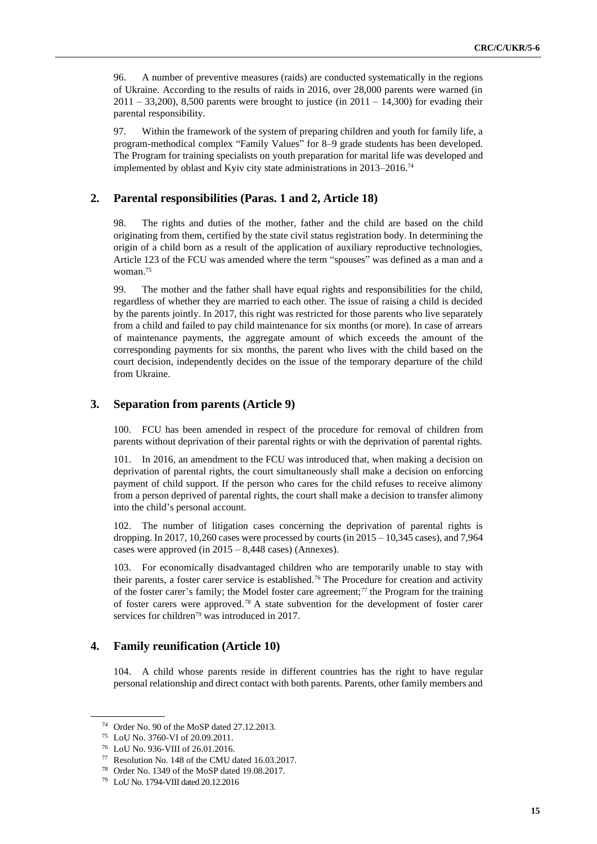96. A number of preventive measures (raids) are conducted systematically in the regions of Ukraine. According to the results of raids in 2016, over 28,000 parents were warned (in  $2011 - 33,200$ , 8,500 parents were brought to justice (in  $2011 - 14,300$ ) for evading their parental responsibility.

97. Within the framework of the system of preparing children and youth for family life, a program-methodical complex "Family Values" for 8–9 grade students has been developed. The Program for training specialists on youth preparation for marital life was developed and implemented by oblast and Kyiv city state administrations in 2013–2016.<sup>74</sup>

## **2. Parental responsibilities (Paras. 1 and 2, Article 18)**

98. The rights and duties of the mother, father and the child are based on the child originating from them, certified by the state civil status registration body. In determining the origin of a child born as a result of the application of auxiliary reproductive technologies, Article 123 of the FCU was amended where the term "spouses" was defined as a man and a woman.<sup>75</sup>

99. The mother and the father shall have equal rights and responsibilities for the child, regardless of whether they are married to each other. The issue of raising a child is decided by the parents jointly. In 2017, this right was restricted for those parents who live separately from a child and failed to pay child maintenance for six months (or more). In case of arrears of maintenance payments, the aggregate amount of which exceeds the amount of the corresponding payments for six months, the parent who lives with the child based on the court decision, independently decides on the issue of the temporary departure of the child from Ukraine.

#### **3. Separation from parents (Article 9)**

100. FCU has been amended in respect of the procedure for removal of children from parents without deprivation of their parental rights or with the deprivation of parental rights.

101. In 2016, an amendment to the FCU was introduced that, when making a decision on deprivation of parental rights, the court simultaneously shall make a decision on enforcing payment of child support. If the person who cares for the child refuses to receive alimony from a person deprived of parental rights, the court shall make a decision to transfer alimony into the child's personal account.

102. The number of litigation cases concerning the deprivation of parental rights is dropping. In 2017, 10,260 cases were processed by courts (in 2015 – 10,345 cases), and 7,964 cases were approved (in 2015 – 8,448 cases) (Annexes).

103. For economically disadvantaged children who are temporarily unable to stay with their parents, a foster carer service is established.<sup>76</sup> The Procedure for creation and activity of the foster carer's family; the Model foster care agreement;<sup>77</sup> the Program for the training of foster carers were approved.<sup>78</sup> A state subvention for the development of foster carer services for children<sup>79</sup> was introduced in 2017.

### **4. Family reunification (Article 10)**

104. A child whose parents reside in different countries has the right to have regular personal relationship and direct contact with both parents. Parents, other family members and

<sup>74</sup> Order No. 90 of the MoSP dated 27.12.2013.

<sup>75</sup> LoU No. 3760-VI of 20.09.2011.

<sup>76</sup> LoU No. 936-VIII of 26.01.2016.

<sup>77</sup> Resolution No. 148 of the CMU dated 16.03.2017.

<sup>78</sup> Order No. 1349 of the MoSP dated 19.08.2017.

<sup>79</sup> LoU No. 1794-VIII dated 20.12.2016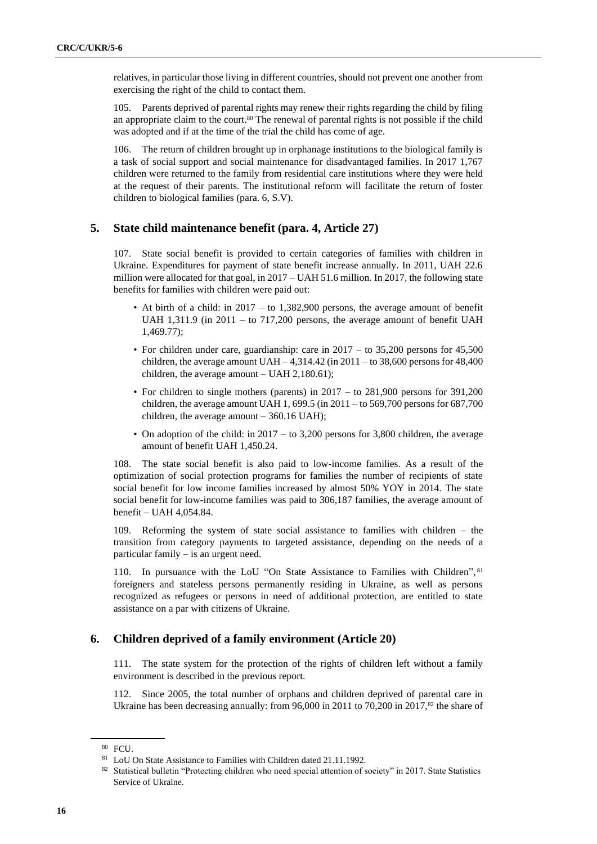relatives, in particular those living in different countries, should not prevent one another from exercising the right of the child to contact them.

105. Parents deprived of parental rights may renew their rights regarding the child by filing an appropriate claim to the court.<sup>80</sup> The renewal of parental rights is not possible if the child was adopted and if at the time of the trial the child has come of age.

106. The return of children brought up in orphanage institutions to the biological family is a task of social support and social maintenance for disadvantaged families. In 2017 1,767 children were returned to the family from residential care institutions where they were held at the request of their parents. The institutional reform will facilitate the return of foster children to biological families (para. 6, S.V).

#### **5. State child maintenance benefit (para. 4, Article 27)**

107. State social benefit is provided to certain categories of families with children in Ukraine. Expenditures for payment of state benefit increase annually. In 2011, UAH 22.6 million were allocated for that goal, in  $2017 - UAH\,51.6$  million. In 2017, the following state benefits for families with children were paid out:

- At birth of a child: in 2017 to 1,382,900 persons, the average amount of benefit UAH 1,311.9 (in 2011 – to 717,200 persons, the average amount of benefit UAH 1,469.77);
- For children under care, guardianship: care in 2017 to 35,200 persons for 45,500 children, the average amount  $UAH - 4,314.42$  (in 2011 – to 38,600 persons for 48,400 children, the average amount – UAH 2,180.61);
- For children to single mothers (parents) in 2017 to 281,900 persons for 391,200 children, the average amount UAH 1, 699.5 (in 2011 – to 569,700 persons for 687,700 children, the average amount – 360.16 UAH);
- On adoption of the child: in  $2017 -$  to 3,200 persons for 3,800 children, the average amount of benefit UAH 1,450.24.

108. The state social benefit is also paid to low-income families. As a result of the optimization of social protection programs for families the number of recipients of state social benefit for low income families increased by almost 50% YOY in 2014. The state social benefit for low-income families was paid to 306,187 families, the average amount of benefit – UAH 4,054.84.

109. Reforming the system of state social assistance to families with children – the transition from category payments to targeted assistance, depending on the needs of a particular family – is an urgent need.

110. In pursuance with the LoU "On State Assistance to Families with Children", 81 foreigners and stateless persons permanently residing in Ukraine, as well as persons recognized as refugees or persons in need of additional protection, are entitled to state assistance on a par with citizens of Ukraine.

#### **6. Children deprived of a family environment (Article 20)**

111. The state system for the protection of the rights of children left without a family environment is described in the previous report.

112. Since 2005, the total number of orphans and children deprived of parental care in Ukraine has been decreasing annually: from 96,000 in 2011 to 70,200 in 2017, $^{82}$  the share of

<sup>80</sup> FCU.

<sup>81</sup> LoU On State Assistance to Families with Children dated 21.11.1992.

<sup>82</sup> Statistical bulletin "Protecting children who need special attention of society" in 2017. State Statistics Service of Ukraine.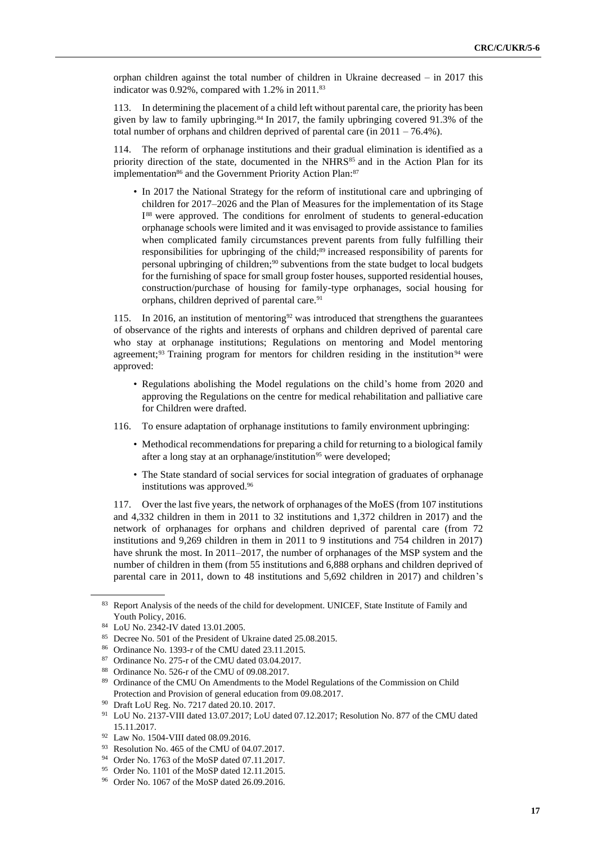orphan children against the total number of children in Ukraine decreased – in 2017 this indicator was  $0.92\%$ , compared with  $1.2\%$  in  $2011.^{83}$ 

113. In determining the placement of a child left without parental care, the priority has been given by law to family upbringing.<sup>84</sup> In 2017, the family upbringing covered 91.3% of the total number of orphans and children deprived of parental care (in 2011 – 76.4%).

114. The reform of orphanage institutions and their gradual elimination is identified as a priority direction of the state, documented in the NHRS $^{85}$  and in the Action Plan for its implementation<sup>86</sup> and the Government Priority Action Plan:<sup>87</sup>

• In 2017 the National Strategy for the reform of institutional care and upbringing of children for 2017–2026 and the Plan of Measures for the implementation of its Stage I<sup>88</sup> were approved. The conditions for enrolment of students to general-education orphanage schools were limited and it was envisaged to provide assistance to families when complicated family circumstances prevent parents from fully fulfilling their responsibilities for upbringing of the child;<sup>89</sup> increased responsibility of parents for personal upbringing of children;<sup>90</sup> subventions from the state budget to local budgets for the furnishing of space for small group foster houses, supported residential houses, construction/purchase of housing for family-type orphanages, social housing for orphans, children deprived of parental care.<sup>91</sup>

115. In 2016, an institution of mentoring<sup>92</sup> was introduced that strengthens the guarantees of observance of the rights and interests of orphans and children deprived of parental care who stay at orphanage institutions; Regulations on mentoring and Model mentoring agreement;<sup>93</sup> Training program for mentors for children residing in the institution<sup>94</sup> were approved:

- Regulations abolishing the Model regulations on the child's home from 2020 and approving the Regulations on the centre for medical rehabilitation and palliative care for Children were drafted.
- 116. To ensure adaptation of orphanage institutions to family environment upbringing:
	- Methodical recommendations for preparing a child for returning to a biological family after a long stay at an orphanage/institution<sup>95</sup> were developed;
	- The State standard of social services for social integration of graduates of orphanage institutions was approved.<sup>96</sup>

117. Over the last five years, the network of orphanages of the MoES (from 107 institutions and 4,332 children in them in 2011 to 32 institutions and 1,372 children in 2017) and the network of orphanages for orphans and children deprived of parental care (from 72 institutions and 9,269 children in them in 2011 to 9 institutions and 754 children in 2017) have shrunk the most. In 2011–2017, the number of orphanages of the MSP system and the number of children in them (from 55 institutions and 6,888 orphans and children deprived of parental care in 2011, down to 48 institutions and 5,692 children in 2017) and children's

<sup>83</sup> Report Analysis of the needs of the child for development. UNICEF, State Institute of Family and Youth Policy, 2016.

<sup>84</sup> LoU No. 2342-IV dated 13.01.2005.

<sup>85</sup> Decree No. 501 of the President of Ukraine dated 25.08.2015.

<sup>86</sup> Ordinance No. 1393-r of the CMU dated 23.11.2015.

<sup>87</sup> Ordinance No. 275-r of the CMU dated 03.04.2017.

<sup>88</sup> Ordinance No. 526-r of the CMU of 09.08.2017.

<sup>89</sup> Ordinance of the CMU On Amendments to the Model Regulations of the Commission on Child Protection and Provision of general education from 09.08.2017.

<sup>90</sup> Draft LoU Reg. No. 7217 dated 20.10. 2017.

<sup>91</sup> LoU No. 2137-VIII dated 13.07.2017; LoU dated 07.12.2017; Resolution No. 877 of the CMU dated 15.11.2017.

<sup>92</sup> Law No. 1504-VIII dated 08.09.2016.

<sup>93</sup> Resolution No. 465 of the CMU of 04.07.2017.

<sup>94</sup> Order No. 1763 of the MoSP dated 07.11.2017.

<sup>95</sup> Order No. 1101 of the MoSP dated 12.11.2015.

<sup>96</sup> Order No. 1067 of the MoSP dated 26.09.2016.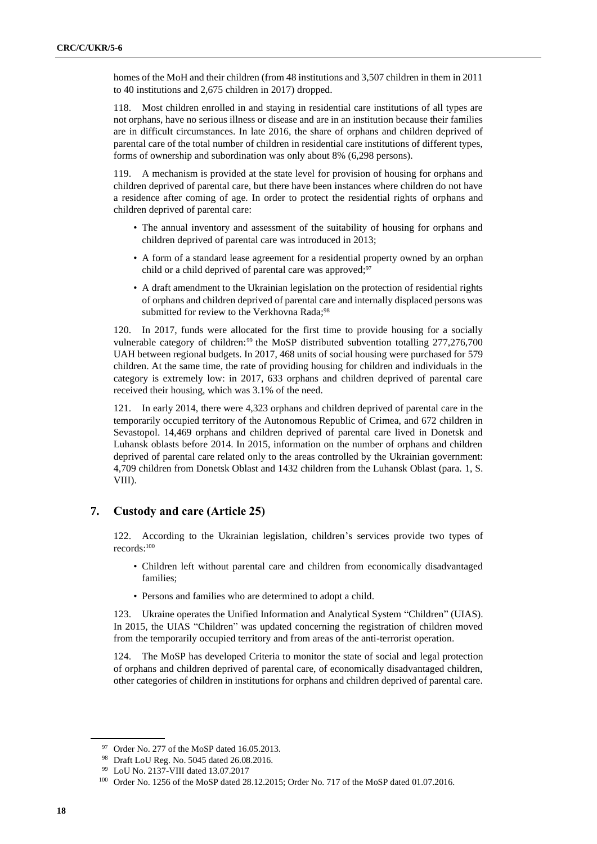homes of the MoH and their children (from 48 institutions and 3,507 children in them in 2011 to 40 institutions and 2,675 children in 2017) dropped.

118. Most children enrolled in and staying in residential care institutions of all types are not orphans, have no serious illness or disease and are in an institution because their families are in difficult circumstances. In late 2016, the share of orphans and children deprived of parental care of the total number of children in residential care institutions of different types, forms of ownership and subordination was only about 8% (6,298 persons).

119. A mechanism is provided at the state level for provision of housing for orphans and children deprived of parental care, but there have been instances where children do not have a residence after coming of age. In order to protect the residential rights of orphans and children deprived of parental care:

- The annual inventory and assessment of the suitability of housing for orphans and children deprived of parental care was introduced in 2013;
- A form of a standard lease agreement for a residential property owned by an orphan child or a child deprived of parental care was approved;<sup>97</sup>
- A draft amendment to the Ukrainian legislation on the protection of residential rights of orphans and children deprived of parental care and internally displaced persons was submitted for review to the Verkhovna Rada;<sup>98</sup>

120. In 2017, funds were allocated for the first time to provide housing for a socially vulnerable category of children:<sup>99</sup> the MoSP distributed subvention totalling 277,276,700 UAH between regional budgets. In 2017, 468 units of social housing were purchased for 579 children. At the same time, the rate of providing housing for children and individuals in the category is extremely low: in 2017, 633 orphans and children deprived of parental care received their housing, which was 3.1% of the need.

121. In early 2014, there were 4,323 orphans and children deprived of parental care in the temporarily occupied territory of the Autonomous Republic of Crimea, and 672 children in Sevastopol. 14,469 orphans and children deprived of parental care lived in Donetsk and Luhansk oblasts before 2014. In 2015, information on the number of orphans and children deprived of parental care related only to the areas controlled by the Ukrainian government: 4,709 children from Donetsk Oblast and 1432 children from the Luhansk Oblast (para. 1, S. VIII).

## **7. Сustody and care (Article 25)**

122. According to the Ukrainian legislation, children's services provide two types of records:<sup>100</sup>

- Children left without parental care and children from economically disadvantaged families;
- Persons and families who are determined to adopt a child.

123. Ukraine operates the Unified Information and Analytical System "Children" (UIAS). In 2015, the UIAS "Children" was updated concerning the registration of children moved from the temporarily occupied territory and from areas of the anti-terrorist operation.

124. The MoSP has developed Criteria to monitor the state of social and legal protection of orphans and children deprived of parental care, of economically disadvantaged children, other categories of children in institutions for orphans and children deprived of parental care.

<sup>&</sup>lt;sup>97</sup> Order No. 277 of the MoSP dated 16.05.2013.

<sup>98</sup> Draft LoU Reg. No. 5045 dated 26.08.2016.

<sup>99</sup> LoU No. 2137-VIII dated 13.07.2017

<sup>100</sup> Order No. 1256 of the MoSP dated 28.12.2015; Order No. 717 of the MoSP dated 01.07.2016.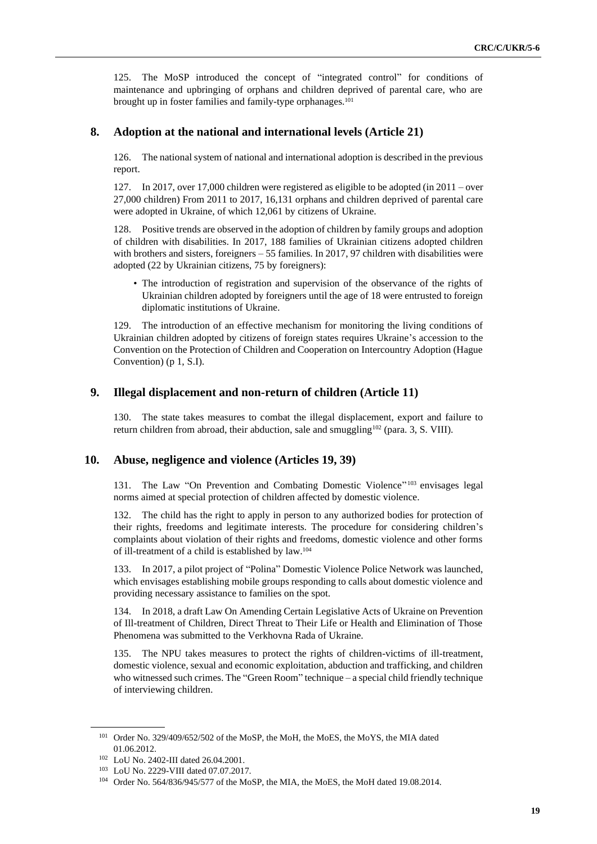125. The MoSP introduced the concept of "integrated control" for conditions of maintenance and upbringing of orphans and children deprived of parental care, who are brought up in foster families and family-type orphanages.<sup>101</sup>

#### **8. Adoption at the national and international levels (Article 21)**

126. The national system of national and international adoption is described in the previous report.

127. In 2017, over 17,000 children were registered as eligible to be adopted (in 2011 – over 27,000 children) From 2011 to 2017, 16,131 orphans and children deprived of parental care were adopted in Ukraine, of which 12,061 by citizens of Ukraine.

128. Positive trends are observed in the adoption of children by family groups and adoption of children with disabilities. In 2017, 188 families of Ukrainian citizens adopted children with brothers and sisters, foreigners – 55 families. In 2017, 97 children with disabilities were adopted (22 by Ukrainian citizens, 75 by foreigners):

• The introduction of registration and supervision of the observance of the rights of Ukrainian children adopted by foreigners until the age of 18 were entrusted to foreign diplomatic institutions of Ukraine.

129. The introduction of an effective mechanism for monitoring the living conditions of Ukrainian children adopted by citizens of foreign states requires Ukraine's accession to the Convention on the Protection of Children and Cooperation on Intercountry Adoption (Hague Convention) (p 1, S.I).

#### **9. Illegal displacement and non-return of children (Article 11)**

130. The state takes measures to combat the illegal displacement, export and failure to return children from abroad, their abduction, sale and smuggling<sup>102</sup> (para. 3, S. VIII).

#### **10. Abuse, negligence and violence (Articles 19, 39)**

131. The Law "On Prevention and Combating Domestic Violence" <sup>103</sup> envisages legal norms aimed at special protection of children affected by domestic violence.

132. The child has the right to apply in person to any authorized bodies for protection of their rights, freedoms and legitimate interests. The procedure for considering children's complaints about violation of their rights and freedoms, domestic violence and other forms of ill-treatment of a child is established by law.<sup>104</sup>

133. In 2017, a pilot project of "Polina" Domestic Violence Police Network was launched, which envisages establishing mobile groups responding to calls about domestic violence and providing necessary assistance to families on the spot.

134. In 2018, a draft Law On Amending Certain Legislative Acts of Ukraine on Prevention of Ill-treatment of Children, Direct Threat to Their Life or Health and Elimination of Those Phenomena was submitted to the Verkhovna Rada of Ukraine.

135. The NPU takes measures to protect the rights of children-victims of ill-treatment, domestic violence, sexual and economic exploitation, abduction and trafficking, and children who witnessed such crimes. The "Green Room" technique – a special child friendly technique of interviewing children.

<sup>&</sup>lt;sup>101</sup> Order No. 329/409/652/502 of the MoSP, the MoH, the MoES, the MoYS, the MIA dated 01.06.2012.

<sup>102</sup> LoU No. 2402-III dated 26.04.2001.

<sup>103</sup> LoU No. 2229-VIII dated 07.07.2017.

<sup>&</sup>lt;sup>104</sup> Order No. 564/836/945/577 of the MoSP, the MIA, the MoES, the MoH dated 19.08.2014.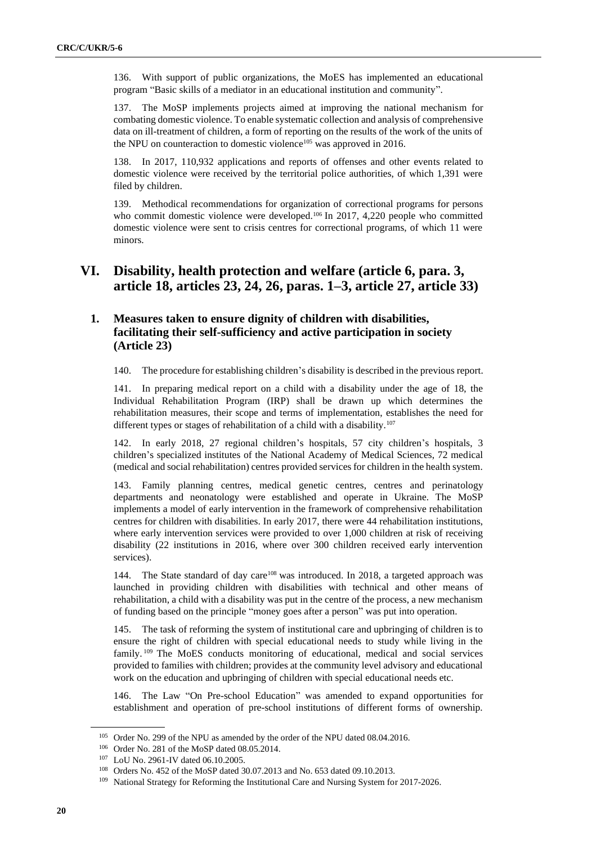136. With support of public organizations, the MoES has implemented an educational program "Basic skills of a mediator in an educational institution and community".

137. The MoSP implements projects aimed at improving the national mechanism for combating domestic violence. To enable systematic collection and analysis of comprehensive data on ill-treatment of children, a form of reporting on the results of the work of the units of the NPU on counteraction to domestic violence<sup>105</sup> was approved in 2016.

138. In 2017, 110,932 applications and reports of offenses and other events related to domestic violence were received by the territorial police authorities, of which 1,391 were filed by children.

139. Methodical recommendations for organization of correctional programs for persons who commit domestic violence were developed.<sup>106</sup> In 2017, 4,220 people who committed domestic violence were sent to crisis centres for correctional programs, of which 11 were minors.

# **VI. Disability, health protection and welfare (article 6, para. 3, article 18, articles 23, 24, 26, paras. 1–3, article 27, article 33)**

# **1. Measures taken to ensure dignity of children with disabilities, facilitating their self-sufficiency and active participation in society (Article 23)**

140. The procedure for establishing children's disability is described in the previous report.

141. In preparing medical report on a child with a disability under the age of 18, the Individual Rehabilitation Program (IRP) shall be drawn up which determines the rehabilitation measures, their scope and terms of implementation, establishes the need for different types or stages of rehabilitation of a child with a disability.<sup>107</sup>

142. In early 2018, 27 regional children's hospitals, 57 city children's hospitals, 3 children's specialized institutes of the National Academy of Medical Sciences, 72 medical (medical and social rehabilitation) centres provided services for children in the health system.

143. Family planning centres, medical genetic centres, centres and perinatology departments and neonatology were established and operate in Ukraine. The MoSP implements a model of early intervention in the framework of comprehensive rehabilitation centres for children with disabilities. In early 2017, there were 44 rehabilitation institutions, where early intervention services were provided to over 1,000 children at risk of receiving disability (22 institutions in 2016, where over 300 children received early intervention services).

144. The State standard of day care<sup>108</sup> was introduced. In 2018, a targeted approach was launched in providing children with disabilities with technical and other means of rehabilitation, a child with a disability was put in the centre of the process, a new mechanism of funding based on the principle "money goes after a person" was put into operation.

145. The task of reforming the system of institutional care and upbringing of children is to ensure the right of children with special educational needs to study while living in the family. <sup>109</sup> The MoES conducts monitoring of educational, medical and social services provided to families with children; provides at the community level advisory and educational work on the education and upbringing of children with special educational needs etc.

146. The Law "On Pre-school Education" was amended to expand opportunities for establishment and operation of pre-school institutions of different forms of ownership.

<sup>&</sup>lt;sup>105</sup> Order No. 299 of the NPU as amended by the order of the NPU dated 08.04.2016.

<sup>106</sup> Order No. 281 of the MoSP dated 08.05.2014.

<sup>107</sup> LoU No. 2961-IV dated 06.10.2005.

<sup>108</sup> Orders No. 452 of the MoSP dated 30.07.2013 and No. 653 dated 09.10.2013.

<sup>&</sup>lt;sup>109</sup> National Strategy for Reforming the Institutional Care and Nursing System for 2017-2026.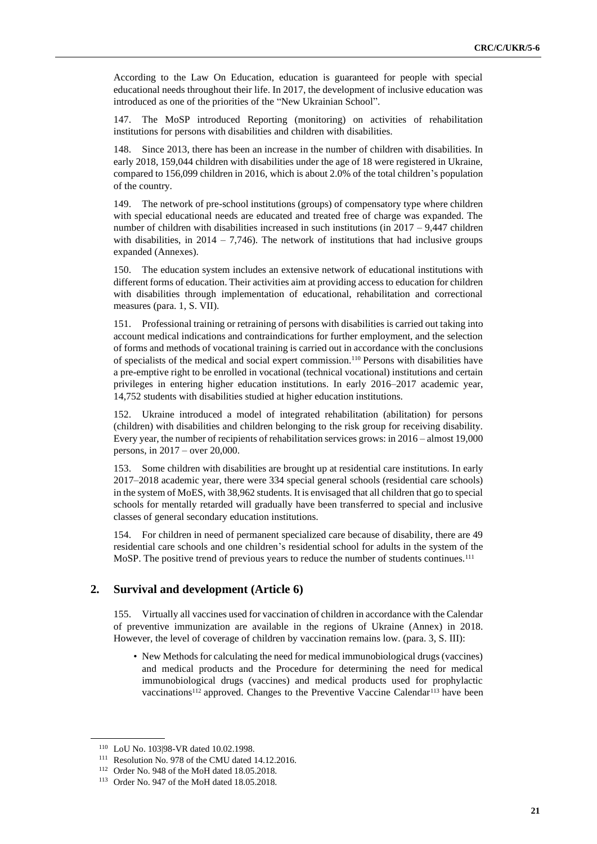According to the Law On Education, education is guaranteed for people with special educational needs throughout their life. In 2017, the development of inclusive education was introduced as one of the priorities of the "New Ukrainian School".

147. The MoSP introduced Reporting (monitoring) on activities of rehabilitation institutions for persons with disabilities and children with disabilities.

148. Since 2013, there has been an increase in the number of children with disabilities. In early 2018, 159,044 children with disabilities under the age of 18 were registered in Ukraine, compared to 156,099 children in 2016, which is about 2.0% of the total children's population of the country.

149. The network of pre-school institutions (groups) of compensatory type where children with special educational needs are educated and treated free of charge was expanded. The number of children with disabilities increased in such institutions (in 2017 – 9,447 children with disabilities, in  $2014 - 7,746$ ). The network of institutions that had inclusive groups expanded (Annexes).

150. The education system includes an extensive network of educational institutions with different forms of education. Their activities aim at providing access to education for children with disabilities through implementation of educational, rehabilitation and correctional measures (para. 1, S. VII).

151. Professional training or retraining of persons with disabilities is carried out taking into account medical indications and contraindications for further employment, and the selection of forms and methods of vocational training is carried out in accordance with the conclusions of specialists of the medical and social expert commission.<sup>110</sup> Persons with disabilities have a pre-emptive right to be enrolled in vocational (technical vocational) institutions and certain privileges in entering higher education institutions. In early 2016–2017 academic year, 14,752 students with disabilities studied at higher education institutions.

152. Ukraine introduced a model of integrated rehabilitation (abilitation) for persons (children) with disabilities and children belonging to the risk group for receiving disability. Every year, the number of recipients of rehabilitation services grows: in 2016 – almost 19,000 persons, in 2017 – over 20,000.

153. Some children with disabilities are brought up at residential care institutions. In early 2017–2018 academic year, there were 334 special general schools (residential care schools) in the system of MoES, with 38,962 students. It is envisaged that all children that go to special schools for mentally retarded will gradually have been transferred to special and inclusive classes of general secondary education institutions.

154. For children in need of permanent specialized care because of disability, there are 49 residential care schools and one children's residential school for adults in the system of the MoSP. The positive trend of previous years to reduce the number of students continues.<sup>111</sup>

#### **2. Survival and development (Article 6)**

155. Virtually all vaccines used for vaccination of children in accordance with the Calendar of preventive immunization are available in the regions of Ukraine (Annex) in 2018. However, the level of coverage of children by vaccination remains low. (para. 3, S. III):

• New Methods for calculating the need for medical immunobiological drugs (vaccines) and medical products and the Procedure for determining the need for medical immunobiological drugs (vaccines) and medical products used for prophylactic vaccinations<sup>112</sup> approved. Changes to the Preventive Vaccine Calendar<sup>113</sup> have been

<sup>110</sup> LoU No. 103|98-VR dated 10.02.1998.

<sup>111</sup> Resolution No. 978 of the CMU dated 14.12.2016.

<sup>112</sup> Order No. 948 of the MoH dated 18.05.2018.

<sup>113</sup> Order No. 947 of the MoH dated 18.05.2018.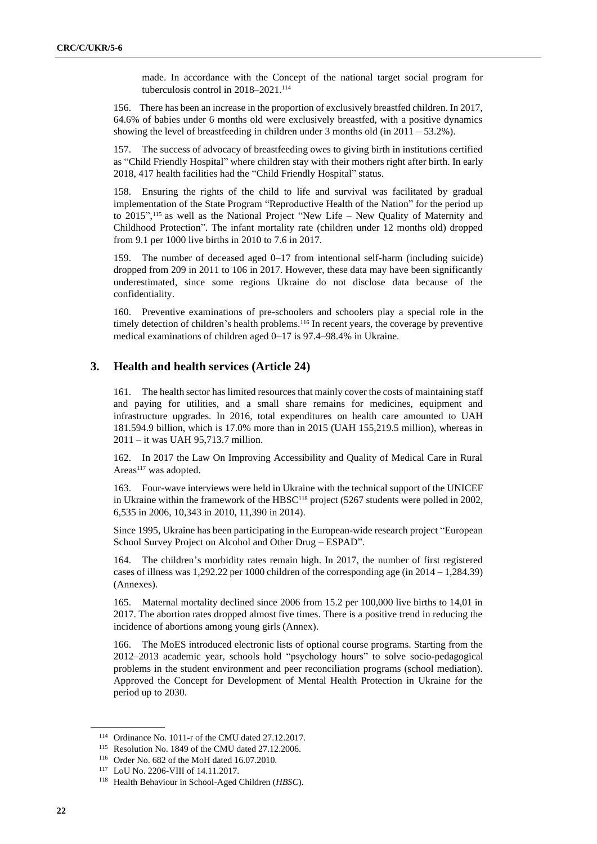made. In accordance with the Concept of the national target social program for tuberculosis control in 2018–2021.<sup>114</sup>

156. There has been an increase in the proportion of exclusively breastfed children. In 2017, 64.6% of babies under 6 months old were exclusively breastfed, with a positive dynamics showing the level of breastfeeding in children under 3 months old (in 2011 – 53.2%).

157. The success of advocacy of breastfeeding owes to giving birth in institutions certified as "Child Friendly Hospital" where children stay with their mothers right after birth. In early 2018, 417 health facilities had the "Child Friendly Hospital" status.

158. Ensuring the rights of the child to life and survival was facilitated by gradual implementation of the State Program "Reproductive Health of the Nation" for the period up to 2015", <sup>115</sup> as well as the National Project "New Life – New Quality of Maternity and Childhood Protection". The infant mortality rate (children under 12 months old) dropped from 9.1 per 1000 live births in 2010 to 7.6 in 2017.

159. The number of deceased aged 0–17 from intentional self-harm (including suicide) dropped from 209 in 2011 to 106 in 2017. However, these data may have been significantly underestimated, since some regions Ukraine do not disclose data because of the confidentiality.

160. Preventive examinations of pre-schoolers and schoolers play a special role in the timely detection of children's health problems.<sup>116</sup> In recent years, the coverage by preventive medical examinations of children aged 0–17 is 97.4–98.4% in Ukraine.

#### **3. Health and health services (Article 24)**

161. The health sector has limited resources that mainly cover the costs of maintaining staff and paying for utilities, and a small share remains for medicines, equipment and infrastructure upgrades. In 2016, total expenditures on health care amounted to UAH 181.594.9 billion, which is 17.0% more than in 2015 (UAH 155,219.5 million), whereas in 2011 – it was UAH 95,713.7 million.

162. In 2017 the Law On Improving Accessibility and Quality of Medical Care in Rural Areas<sup>117</sup> was adopted.

163. Four-wave interviews were held in Ukraine with the technical support of the UNICEF in Ukraine within the framework of the HBSC<sup>118</sup> project (5267 students were polled in 2002, 6,535 in 2006, 10,343 in 2010, 11,390 in 2014).

Since 1995, Ukraine has been participating in the European-wide research project "European School Survey Project on Alcohol and Other Drug – ESPAD".

164. The children's morbidity rates remain high. In 2017, the number of first registered cases of illness was 1,292.22 per 1000 children of the corresponding age (in  $2014 - 1,284.39$ ) (Annexes).

165. Maternal mortality declined since 2006 from 15.2 per 100,000 live births to 14,01 in 2017. The abortion rates dropped almost five times. There is a positive trend in reducing the incidence of abortions among young girls (Annex).

166. The MoES introduced electronic lists of optional course programs. Starting from the 2012–2013 academic year, schools hold "psychology hours" to solve socio-pedagogical problems in the student environment and peer reconciliation programs (school mediation). Approved the Concept for Development of Mental Health Protection in Ukraine for the period up to 2030.

<sup>114</sup> Ordinance No. 1011-r of the CMU dated 27.12.2017.

<sup>115</sup> Resolution No. 1849 of the CMU dated 27.12.2006.

<sup>116</sup> Order No. 682 of the MoH dated 16.07.2010.

<sup>117</sup> LoU No. 2206-VIII of 14.11.2017.

<sup>118</sup> Health Behaviour in School-Aged Children (*HBSC*).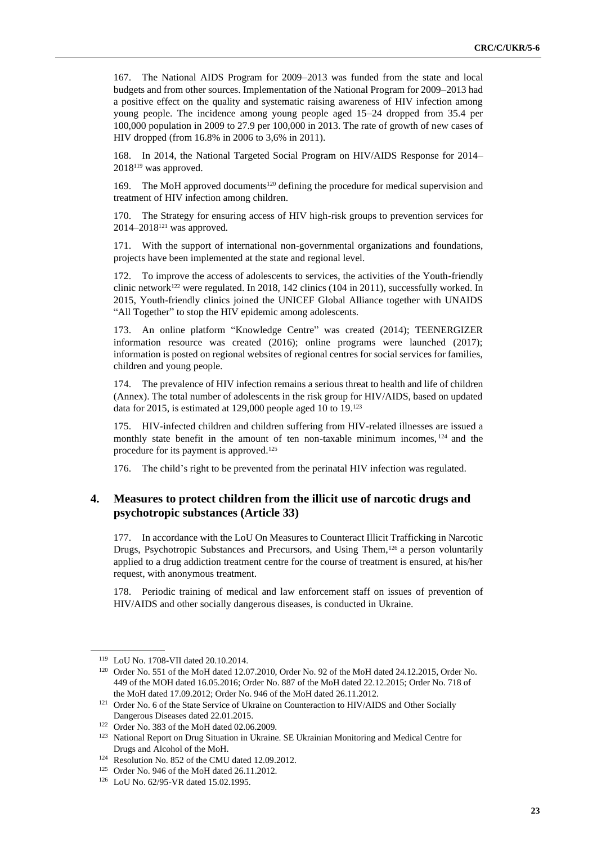167. The National AIDS Program for 2009–2013 was funded from the state and local budgets and from other sources. Implementation of the National Program for 2009–2013 had a positive effect on the quality and systematic raising awareness of HIV infection among young people. The incidence among young people aged 15–24 dropped from 35.4 per 100,000 population in 2009 to 27.9 per 100,000 in 2013. The rate of growth of new cases of HIV dropped (from 16.8% in 2006 to 3,6% in 2011).

168. In 2014, the National Targeted Social Program on HIV/AIDS Response for 2014– 2018<sup>119</sup> was approved.

169. The MoH approved documents<sup>120</sup> defining the procedure for medical supervision and treatment of HIV infection among children.

170. The Strategy for ensuring access of HIV high-risk groups to prevention services for 2014–2018<sup>121</sup> was approved.

171. With the support of international non-governmental organizations and foundations, projects have been implemented at the state and regional level.

172. To improve the access of adolescents to services, the activities of the Youth-friendly clinic network<sup>122</sup> were regulated. In 2018, 142 clinics (104 in 2011), successfully worked. In 2015, Youth-friendly clinics joined the UNICEF Global Alliance together with UNAIDS "All Together" to stop the HIV epidemic among adolescents.

173. An online platform "Knowledge Centre" was created (2014); TEENERGIZER information resource was created (2016); online programs were launched (2017); information is posted on regional websites of regional centres for social services for families, children and young people.

174. The prevalence of HIV infection remains a serious threat to health and life of children (Annex). The total number of adolescents in the risk group for HIV/AIDS, based on updated data for 2015, is estimated at 129,000 people aged 10 to 19.<sup>123</sup>

175. HIV-infected children and children suffering from HIV-related illnesses are issued a monthly state benefit in the amount of ten non-taxable minimum incomes, <sup>124</sup> and the procedure for its payment is approved.<sup>125</sup>

176. The child's right to be prevented from the perinatal HIV infection was regulated.

# **4. Measures to protect children from the illicit use of narcotic drugs and psychotropic substances (Article 33)**

177. In accordance with the LoU On Measures to Counteract Illicit Trafficking in Narcotic Drugs, Psychotropic Substances and Precursors, and Using Them,<sup>126</sup> a person voluntarily applied to a drug addiction treatment centre for the course of treatment is ensured, at his/her request, with anonymous treatment.

178. Periodic training of medical and law enforcement staff on issues of prevention of HIV/AIDS and other socially dangerous diseases, is conducted in Ukraine.

<sup>119</sup> LoU No. 1708-VII dated 20.10.2014.

<sup>120</sup> Order No. 551 of the MoH dated 12.07.2010, Order No. 92 of the MoH dated 24.12.2015, Order No. 449 of the MOH dated 16.05.2016; Order No. 887 of the MoH dated 22.12.2015; Order No. 718 of the MoH dated 17.09.2012; Order No. 946 of the MoH dated 26.11.2012.

<sup>&</sup>lt;sup>121</sup> Order No. 6 of the State Service of Ukraine on Counteraction to HIV/AIDS and Other Socially Dangerous Diseases dated 22.01.2015.

<sup>122</sup> Order No. 383 of the MoH dated 02.06.2009.

<sup>&</sup>lt;sup>123</sup> National Report on Drug Situation in Ukraine. SE Ukrainian Monitoring and Medical Centre for Drugs and Alcohol of the MoH.

<sup>124</sup> Resolution No. 852 of the CMU dated 12.09.2012.

<sup>125</sup> Order No. 946 of the MoH dated 26.11.2012.

<sup>126</sup> LoU No. 62/95-VR dated 15.02.1995.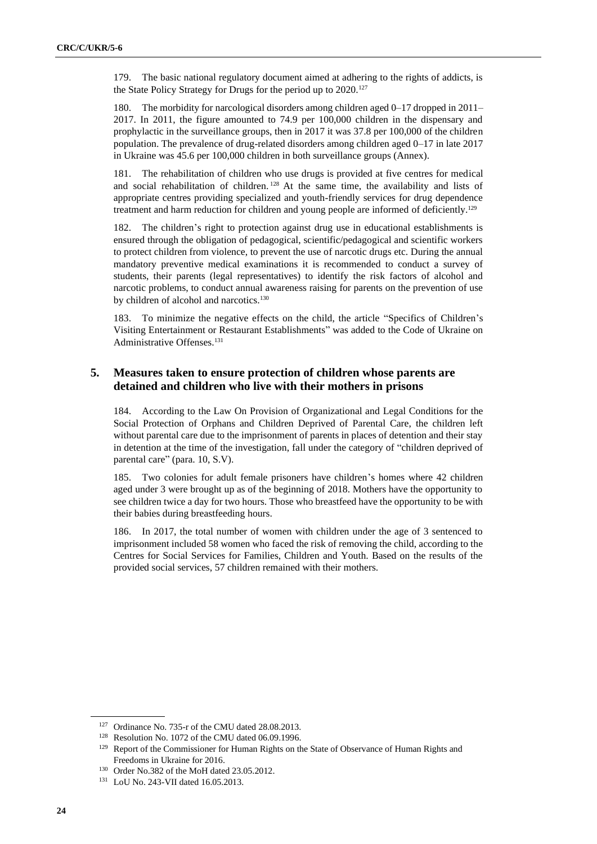179. The basic national regulatory document aimed at adhering to the rights of addicts, is the State Policy Strategy for Drugs for the period up to 2020.<sup>127</sup>

180. The morbidity for narcological disorders among children aged 0–17 dropped in 2011– 2017. In 2011, the figure amounted to 74.9 per 100,000 children in the dispensary and prophylactic in the surveillance groups, then in 2017 it was 37.8 per 100,000 of the children population. The prevalence of drug-related disorders among children aged 0–17 in late 2017 in Ukraine was 45.6 per 100,000 children in both surveillance groups (Annex).

181. The rehabilitation of children who use drugs is provided at five centres for medical and social rehabilitation of children. <sup>128</sup> At the same time, the availability and lists of appropriate centres providing specialized and youth-friendly services for drug dependence treatment and harm reduction for children and young people are informed of deficiently.<sup>129</sup>

182. The children's right to protection against drug use in educational establishments is ensured through the obligation of pedagogical, scientific/pedagogical and scientific workers to protect children from violence, to prevent the use of narcotic drugs etc. During the annual mandatory preventive medical examinations it is recommended to conduct a survey of students, their parents (legal representatives) to identify the risk factors of alcohol and narcotic problems, to conduct annual awareness raising for parents on the prevention of use by children of alcohol and narcotics.<sup>130</sup>

183. To minimize the negative effects on the child, the article "Specifics of Children's Visiting Entertainment or Restaurant Establishments" was added to the Code of Ukraine on Administrative Offenses.<sup>131</sup>

## **5. Measures taken to ensure protection of children whose parents are detained and children who live with their mothers in prisons**

184. According to the Law On Provision of Organizational and Legal Conditions for the Social Protection of Orphans and Children Deprived of Parental Care, the children left without parental care due to the imprisonment of parents in places of detention and their stay in detention at the time of the investigation, fall under the category of "children deprived of parental care" (para. 10, S.V).

185. Two colonies for adult female prisoners have children's homes where 42 children aged under 3 were brought up as of the beginning of 2018. Mothers have the opportunity to see children twice a day for two hours. Those who breastfeed have the opportunity to be with their babies during breastfeeding hours.

186. In 2017, the total number of women with children under the age of 3 sentenced to imprisonment included 58 women who faced the risk of removing the child, according to the Centres for Social Services for Families, Children and Youth. Based on the results of the provided social services, 57 children remained with their mothers.

<sup>127</sup> Ordinance No. 735-r of the CMU dated 28.08.2013.

<sup>128</sup> Resolution No. 1072 of the CMU dated 06.09.1996.

<sup>&</sup>lt;sup>129</sup> Report of the Commissioner for Human Rights on the State of Observance of Human Rights and Freedoms in Ukraine for 2016.

<sup>130</sup> Order No.382 of the MoH dated 23.05.2012.

<sup>131</sup> LoU No. 243-VII dated 16.05.2013.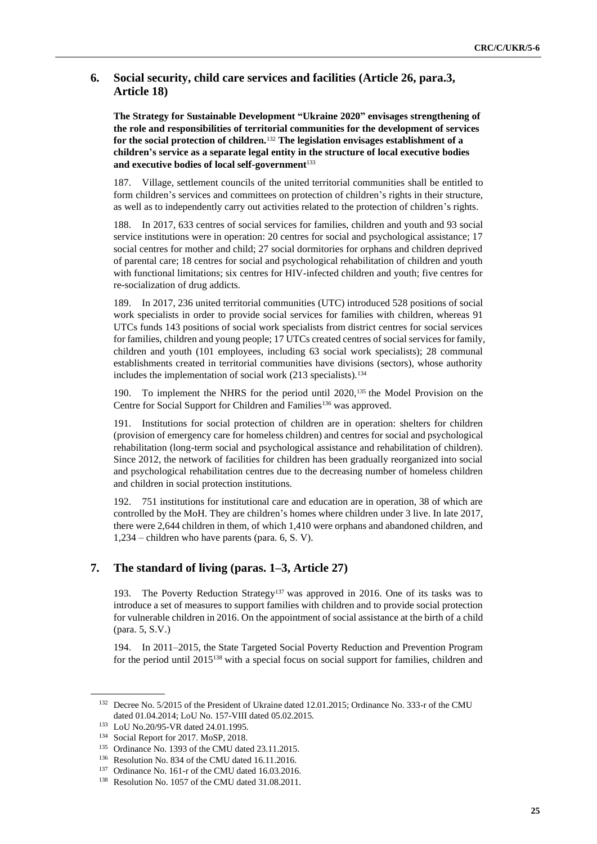## **6. Social security, child care services and facilities (Article 26, para.3, Article 18)**

**The Strategy for Sustainable Development "Ukraine 2020" envisages strengthening of the role and responsibilities of territorial communities for the development of services for the social protection of children.**<sup>132</sup> **The legislation envisages establishment of a children's service as a separate legal entity in the structure of local executive bodies and executive bodies of local self-government**<sup>133</sup>

187. Village, settlement councils of the united territorial communities shall be entitled to form children's services and committees on protection of children's rights in their structure, as well as to independently carry out activities related to the protection of children's rights.

188. In 2017, 633 centres of social services for families, children and youth and 93 social service institutions were in operation: 20 centres for social and psychological assistance; 17 social centres for mother and child; 27 social dormitories for orphans and children deprived of parental care; 18 centres for social and psychological rehabilitation of children and youth with functional limitations; six centres for HIV-infected children and youth; five centres for re-socialization of drug addicts.

189. In 2017, 236 united territorial communities (UTC) introduced 528 positions of social work specialists in order to provide social services for families with children, whereas 91 UTCs funds 143 positions of social work specialists from district centres for social services for families, children and young people; 17 UTCs created centres of social services for family, children and youth (101 employees, including 63 social work specialists); 28 communal establishments created in territorial communities have divisions (sectors), whose authority includes the implementation of social work (213 specialists).<sup>134</sup>

190. To implement the NHRS for the period until 2020,<sup>135</sup> the Model Provision on the Centre for Social Support for Children and Families<sup>136</sup> was approved.

191. Institutions for social protection of children are in operation: shelters for children (provision of emergency care for homeless children) and centres for social and psychological rehabilitation (long-term social and psychological assistance and rehabilitation of children). Since 2012, the network of facilities for children has been gradually reorganized into social and psychological rehabilitation centres due to the decreasing number of homeless children and children in social protection institutions.

192. 751 institutions for institutional care and education are in operation, 38 of which are controlled by the MoH. They are children's homes where children under 3 live. In late 2017, there were 2,644 children in them, of which 1,410 were orphans and abandoned children, and 1,234 – children who have parents (para. 6, S. V).

# **7. The standard of living (paras. 1–3, Article 27)**

193. The Poverty Reduction Strategy<sup>137</sup> was approved in 2016. One of its tasks was to introduce a set of measures to support families with children and to provide social protection for vulnerable children in 2016. On the appointment of social assistance at the birth of a child (para. 5, S.V.)

194. In 2011–2015, the State Targeted Social Poverty Reduction and Prevention Program for the period until 2015<sup>138</sup> with a special focus on social support for families, children and

<sup>&</sup>lt;sup>132</sup> Decree No. 5/2015 of the President of Ukraine dated 12.01.2015; Ordinance No. 333-r of the CMU dated 01.04.2014; LoU No. 157-VIII dated 05.02.2015.

<sup>133</sup> LoU No.20/95-VR dated 24.01.1995.

<sup>134</sup> Social Report for 2017. MoSP, 2018.

<sup>135</sup> Ordinance No. 1393 of the CMU dated 23.11.2015.

<sup>136</sup> Resolution No. 834 of the CMU dated 16.11.2016.

<sup>137</sup> Ordinance No. 161-r of the CMU dated 16.03.2016.

<sup>138</sup> Resolution No. 1057 of the CMU dated 31.08.2011.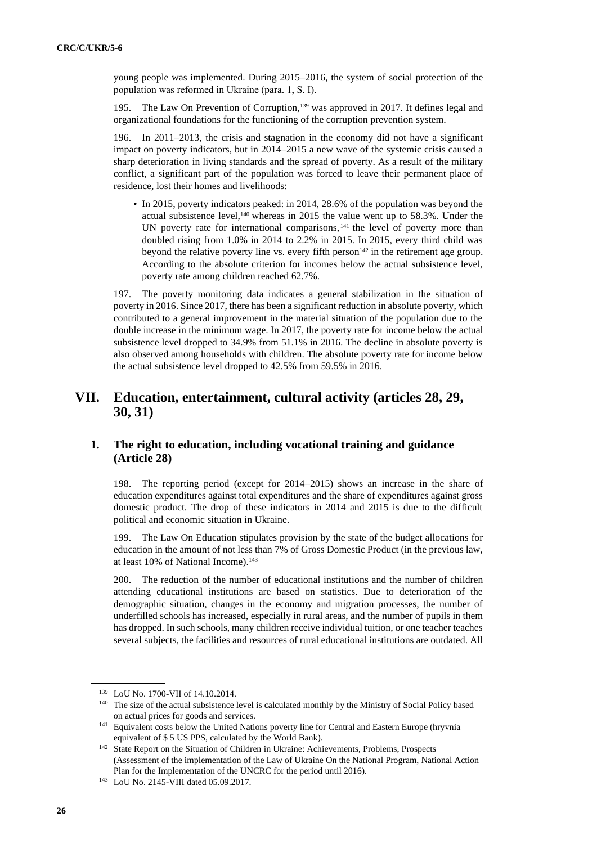young people was implemented. During 2015–2016, the system of social protection of the population was reformed in Ukraine (para. 1, S. І).

195. The Law On Prevention of Corruption,<sup>139</sup> was approved in 2017. It defines legal and organizational foundations for the functioning of the corruption prevention system.

196. In 2011–2013, the crisis and stagnation in the economy did not have a significant impact on poverty indicators, but in 2014–2015 a new wave of the systemic crisis caused a sharp deterioration in living standards and the spread of poverty. As a result of the military conflict, a significant part of the population was forced to leave their permanent place of residence, lost their homes and livelihoods:

• In 2015, poverty indicators peaked: in 2014, 28.6% of the population was beyond the actual subsistence level, $140$  whereas in 2015 the value went up to 58.3%. Under the UN poverty rate for international comparisons,<sup>141</sup> the level of poverty more than doubled rising from 1.0% in 2014 to 2.2% in 2015. In 2015, every third child was beyond the relative poverty line vs. every fifth person<sup>142</sup> in the retirement age group. According to the absolute criterion for incomes below the actual subsistence level, poverty rate among children reached 62.7%.

197. The poverty monitoring data indicates a general stabilization in the situation of poverty in 2016. Since 2017, there has been a significant reduction in absolute poverty, which contributed to a general improvement in the material situation of the population due to the double increase in the minimum wage. In 2017, the poverty rate for income below the actual subsistence level dropped to 34.9% from 51.1% in 2016. The decline in absolute poverty is also observed among households with children. The absolute poverty rate for income below the actual subsistence level dropped to 42.5% from 59.5% in 2016.

# **VII. Education, entertainment, cultural activity (articles 28, 29, 30, 31)**

# **1. The right to education, including vocational training and guidance (Article 28)**

198. The reporting period (except for 2014–2015) shows an increase in the share of education expenditures against total expenditures and the share of expenditures against gross domestic product. The drop of these indicators in 2014 and 2015 is due to the difficult political and economic situation in Ukraine.

199. The Law On Education stipulates provision by the state of the budget allocations for education in the amount of not less than 7% of Gross Domestic Product (in the previous law, at least 10% of National Income).<sup>143</sup>

200. The reduction of the number of educational institutions and the number of children attending educational institutions are based on statistics. Due to deterioration of the demographic situation, changes in the economy and migration processes, the number of underfilled schools has increased, especially in rural areas, and the number of pupils in them has dropped. In such schools, many children receive individual tuition, or one teacher teaches several subjects, the facilities and resources of rural educational institutions are outdated. All

<sup>139</sup> LoU No. 1700-VII of 14.10.2014.

<sup>&</sup>lt;sup>140</sup> The size of the actual subsistence level is calculated monthly by the Ministry of Social Policy based on actual prices for goods and services.

<sup>&</sup>lt;sup>141</sup> Equivalent costs below the United Nations poverty line for Central and Eastern Europe (hryvnia equivalent of \$ 5 US PPS, calculated by the World Bank).

<sup>&</sup>lt;sup>142</sup> State Report on the Situation of Children in Ukraine: Achievements, Problems, Prospects (Assessment of the implementation of the Law of Ukraine On the National Program, National Action Plan for the Implementation of the UNCRC for the period until 2016).

<sup>143</sup> LoU No. 2145-VIII dated 05.09.2017.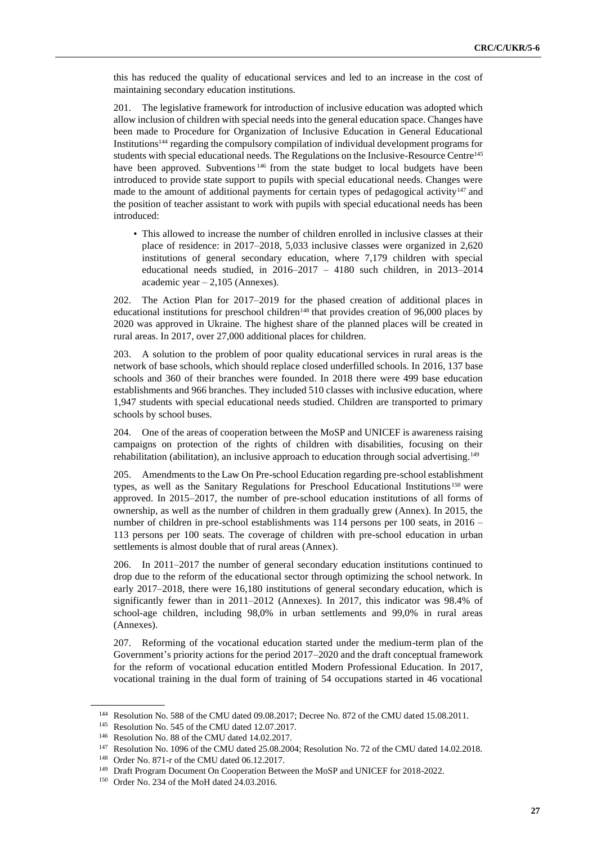this has reduced the quality of educational services and led to an increase in the cost of maintaining secondary education institutions.

201. The legislative framework for introduction of inclusive education was adopted which allow inclusion of children with special needs into the general education space. Changes have been made to Procedure for Organization of Inclusive Education in General Educational Institutions<sup>144</sup> regarding the compulsory compilation of individual development programs for students with special educational needs. The Regulations on the Inclusive-Resource Centre<sup>145</sup> have been approved. Subventions<sup>146</sup> from the state budget to local budgets have been introduced to provide state support to pupils with special educational needs. Changes were made to the amount of additional payments for certain types of pedagogical activity<sup>147</sup> and the position of teacher assistant to work with pupils with special educational needs has been introduced:

• This allowed to increase the number of children enrolled in inclusive classes at their place of residence: in 2017–2018, 5,033 inclusive classes were organized in 2,620 institutions of general secondary education, where 7,179 children with special educational needs studied, in 2016–2017 – 4180 such children, in 2013–2014 academic year  $-2,105$  (Annexes).

202. The Action Plan for 2017–2019 for the phased creation of additional places in educational institutions for preschool children<sup>148</sup> that provides creation of 96,000 places by 2020 was approved in Ukraine. The highest share of the planned places will be created in rural areas. In 2017, over 27,000 additional places for children.

203. A solution to the problem of poor quality educational services in rural areas is the network of base schools, which should replace closed underfilled schools. In 2016, 137 base schools and 360 of their branches were founded. In 2018 there were 499 base education establishments and 966 branches. They included 510 classes with inclusive education, where 1,947 students with special educational needs studied. Children are transported to primary schools by school buses.

204. One of the areas of cooperation between the MoSP and UNICEF is awareness raising campaigns on protection of the rights of children with disabilities, focusing on their rehabilitation (abilitation), an inclusive approach to education through social advertising.<sup>149</sup>

205. Amendments to the Law On Pre-school Education regarding pre-school establishment types, as well as the Sanitary Regulations for Preschool Educational Institutions <sup>150</sup> were approved. In 2015–2017, the number of pre-school education institutions of all forms of ownership, as well as the number of children in them gradually grew (Annex). In 2015, the number of children in pre-school establishments was 114 persons per 100 seats, in 2016 – 113 persons per 100 seats. The coverage of children with pre-school education in urban settlements is almost double that of rural areas (Annex).

206. In 2011–2017 the number of general secondary education institutions continued to drop due to the reform of the educational sector through optimizing the school network. In early 2017–2018, there were 16,180 institutions of general secondary education, which is significantly fewer than in 2011–2012 (Annexes). In 2017, this indicator was 98.4% of school-age children, including 98,0% in urban settlements and 99,0% in rural areas (Annexes).

207. Reforming of the vocational education started under the medium-term plan of the Government's priority actions for the period 2017–2020 and the draft conceptual framework for the reform of vocational education entitled Modern Professional Education. In 2017, vocational training in the dual form of training of 54 occupations started in 46 vocational

<sup>144</sup> Resolution No. 588 of the CMU dated 09.08.2017; Decree No. 872 of the CMU dated 15.08.2011.

<sup>145</sup> Resolution No. 545 of the CMU dated 12.07.2017.

<sup>146</sup> Resolution No. 88 of the CMU dated 14.02.2017.

<sup>147</sup> Resolution No. 1096 of the CMU dated 25.08.2004; Resolution No. 72 of the CMU dated 14.02.2018.

<sup>148</sup> Order No. 871-r of the CMU dated 06.12.2017.

<sup>149</sup> Draft Program Document On Cooperation Between the MoSP and UNICEF for 2018-2022.

<sup>150</sup> Order No. 234 of the MoH dated 24.03.2016.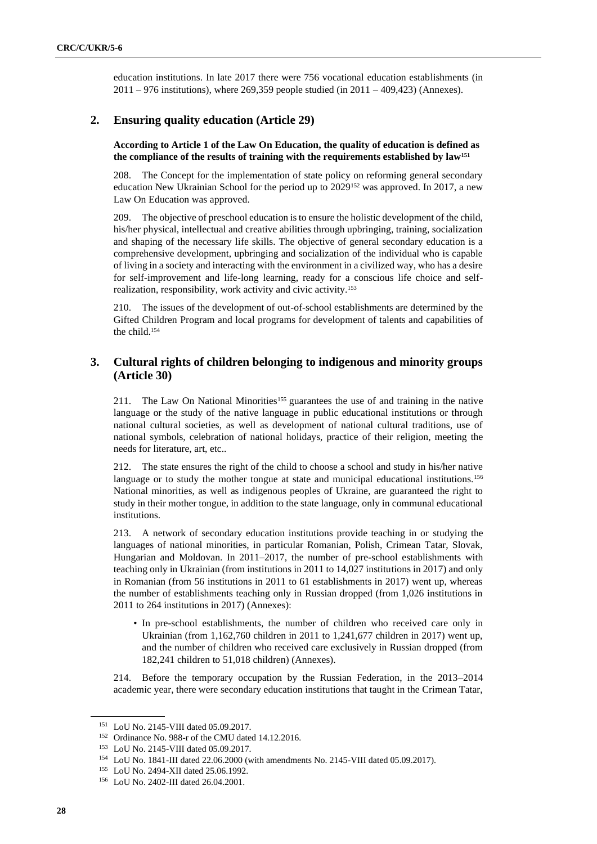education institutions. In late 2017 there were 756 vocational education establishments (in  $2011 - 976$  institutions), where 269,359 people studied (in  $2011 - 409,423$ ) (Annexes).

## **2. Ensuring quality education (Article 29)**

#### **According to Article 1 of the Law On Education, the quality of education is defined as the compliance of the results of training with the requirements established by law<sup>151</sup>**

208. The Concept for the implementation of state policy on reforming general secondary education New Ukrainian School for the period up to 2029<sup>152</sup> was approved. In 2017, a new Law On Education was approved.

209. The objective of preschool education is to ensure the holistic development of the child, his/her physical, intellectual and creative abilities through upbringing, training, socialization and shaping of the necessary life skills. The objective of general secondary education is a comprehensive development, upbringing and socialization of the individual who is capable of living in a society and interacting with the environment in a civilized way, who has a desire for self-improvement and life-long learning, ready for a conscious life choice and selfrealization, responsibility, work activity and civic activity.<sup>153</sup>

210. The issues of the development of out-of-school establishments are determined by the Gifted Children Program and local programs for development of talents and capabilities of the child.<sup>154</sup>

# **3. Cultural rights of children belonging to indigenous and minority groups (Article 30)**

211. The Law On National Minorities<sup>155</sup> guarantees the use of and training in the native language or the study of the native language in public educational institutions or through national cultural societies, as well as development of national cultural traditions, use of national symbols, celebration of national holidays, practice of their religion, meeting the needs for literature, art, etc..

212. The state ensures the right of the child to choose a school and study in his/her native language or to study the mother tongue at state and municipal educational institutions.<sup>156</sup> National minorities, as well as indigenous peoples of Ukraine, are guaranteed the right to study in their mother tongue, in addition to the state language, only in communal educational institutions.

213. A network of secondary education institutions provide teaching in or studying the languages of national minorities, in particular Romanian, Polish, Crimean Tatar, Slovak, Hungarian and Moldovan. In 2011–2017, the number of pre-school establishments with teaching only in Ukrainian (from institutions in 2011 to 14,027 institutions in 2017) and only in Romanian (from 56 institutions in 2011 to 61 establishments in 2017) went up, whereas the number of establishments teaching only in Russian dropped (from 1,026 institutions in 2011 to 264 institutions in 2017) (Annexes):

• In pre-school establishments, the number of children who received care only in Ukrainian (from 1,162,760 children in 2011 to 1,241,677 children in 2017) went up, and the number of children who received care exclusively in Russian dropped (from 182,241 children to 51,018 children) (Annexes).

214. Before the temporary occupation by the Russian Federation, in the 2013–2014 academic year, there were secondary education institutions that taught in the Crimean Tatar,

<sup>151</sup> LoU No. 2145-VIII dated 05.09.2017.

<sup>152</sup> Ordinance No. 988-r of the CMU dated 14.12.2016.

<sup>153</sup> LoU No. 2145-VIII dated 05.09.2017.

<sup>154</sup> LoU No. 1841-III dated 22.06.2000 (with amendments No. 2145-VIII dated 05.09.2017).

<sup>155</sup> LoU No. 2494-XII dated 25.06.1992.

<sup>156</sup> LoU No. 2402-III dated 26.04.2001.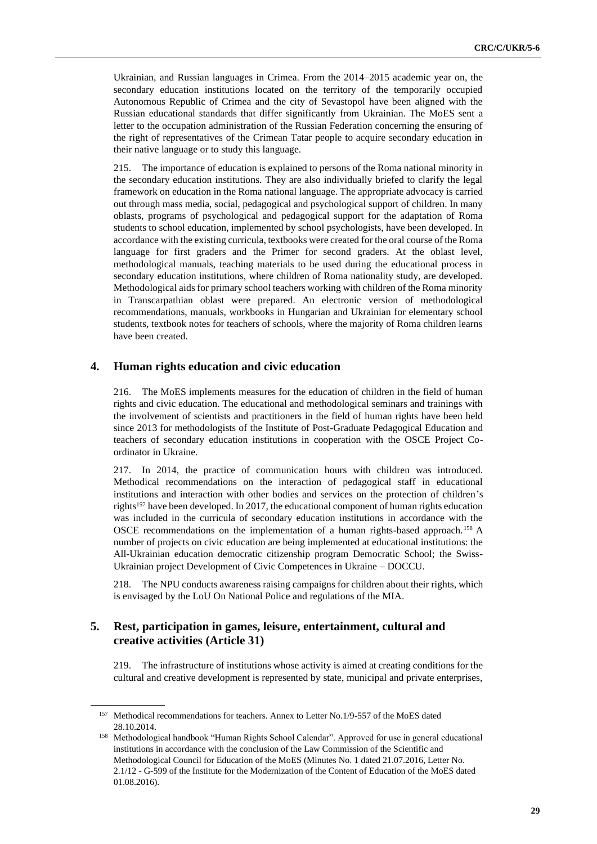Ukrainian, and Russian languages in Crimea. From the 2014–2015 academic year on, the secondary education institutions located on the territory of the temporarily occupied Autonomous Republic of Crimea and the city of Sevastopol have been aligned with the Russian educational standards that differ significantly from Ukrainian. The MoES sent a letter to the occupation administration of the Russian Federation concerning the ensuring of the right of representatives of the Crimean Tatar people to acquire secondary education in their native language or to study this language.

215. The importance of education is explained to persons of the Roma national minority in the secondary education institutions. They are also individually briefed to clarify the legal framework on education in the Roma national language. The appropriate advocacy is carried out through mass media, social, pedagogical and psychological support of children. In many oblasts, programs of psychological and pedagogical support for the adaptation of Roma students to school education, implemented by school psychologists, have been developed. In accordance with the existing curricula, textbooks were created for the oral course of the Roma language for first graders and the Primer for second graders. At the oblast level, methodological manuals, teaching materials to be used during the educational process in secondary education institutions, where children of Roma nationality study, are developed. Methodological aids for primary school teachers working with children of the Roma minority in Transcarpathian oblast were prepared. An electronic version of methodological recommendations, manuals, workbooks in Hungarian and Ukrainian for elementary school students, textbook notes for teachers of schools, where the majority of Roma children learns have been created.

#### **4. Human rights education and civic education**

216. The MoES implements measures for the education of children in the field of human rights and civic education. The educational and methodological seminars and trainings with the involvement of scientists and practitioners in the field of human rights have been held since 2013 for methodologists of the Institute of Post-Graduate Pedagogical Education and teachers of secondary education institutions in cooperation with the OSCE Project Coordinator in Ukraine.

217. In 2014, the practice of communication hours with children was introduced. Methodical recommendations on the interaction of pedagogical staff in educational institutions and interaction with other bodies and services on the protection of children's rights<sup>157</sup> have been developed. In 2017, the educational component of human rights education was included in the curricula of secondary education institutions in accordance with the OSCE recommendations on the implementation of a human rights-based approach.<sup>158</sup> A number of projects on civic education are being implemented at educational institutions: the All-Ukrainian education democratic citizenship program Democratic School; the Swiss-Ukrainian project Development of Civic Competences in Ukraine – DOCCU.

218. The NPU conducts awareness raising campaigns for children about their rights, which is envisaged by the LoU On National Police and regulations of the MIA.

#### **5. Rest, participation in games, leisure, entertainment, cultural and creative activities (Article 31)**

219. The infrastructure of institutions whose activity is aimed at creating conditions for the cultural and creative development is represented by state, municipal and private enterprises,

<sup>157</sup> Methodical recommendations for teachers. Annex to Letter No.1/9-557 of the MoES dated 28.10.2014.

<sup>158</sup> Methodological handbook "Human Rights School Calendar". Approved for use in general educational institutions in accordance with the conclusion of the Law Commission of the Scientific and Methodological Council for Education of the MoES (Minutes No. 1 dated 21.07.2016, Letter No. 2.1/12 - G-599 of the Institute for the Modernization of the Content of Education of the MoES dated 01.08.2016).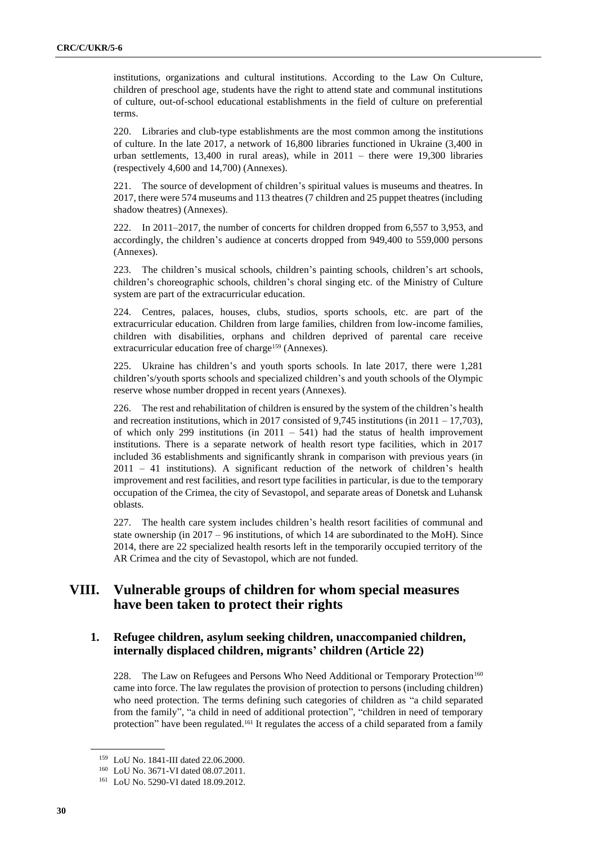institutions, organizations and cultural institutions. According to the Law On Culture, children of preschool age, students have the right to attend state and communal institutions of culture, out-of-school educational establishments in the field of culture on preferential terms.

220. Libraries and club-type establishments are the most common among the institutions of culture. In the late 2017, a network of 16,800 libraries functioned in Ukraine (3,400 in urban settlements, 13,400 in rural areas), while in 2011 – there were 19,300 libraries (respectively 4,600 and 14,700) (Annexes).

221. The source of development of children's spiritual values is museums and theatres. In 2017, there were 574 museums and 113 theatres (7 children and 25 puppet theatres (including shadow theatres) (Annexes).

222. In 2011–2017, the number of concerts for children dropped from 6,557 to 3,953, and accordingly, the children's audience at concerts dropped from 949,400 to 559,000 persons (Annexes).

223. The children's musical schools, children's painting schools, children's art schools, children's choreographic schools, children's choral singing etc. of the Ministry of Culture system are part of the extracurricular education.

224. Centres, palaces, houses, clubs, studios, sports schools, etc. are part of the extracurricular education. Children from large families, children from low-income families, children with disabilities, orphans and children deprived of parental care receive extracurricular education free of charge<sup>159</sup> (Annexes).

225. Ukraine has children's and youth sports schools. In late 2017, there were 1,281 children's/youth sports schools and specialized children's and youth schools of the Olympic reserve whose number dropped in recent years (Annexes).

226. The rest and rehabilitation of children is ensured by the system of the children's health and recreation institutions, which in 2017 consisted of 9,745 institutions (in  $2011 - 17,703$ ), of which only 299 institutions (in  $2011 - 541$ ) had the status of health improvement institutions. There is a separate network of health resort type facilities, which in 2017 included 36 establishments and significantly shrank in comparison with previous years (in 2011 – 41 institutions). A significant reduction of the network of children's health improvement and rest facilities, and resort type facilities in particular, is due to the temporary occupation of the Crimea, the city of Sevastopol, and separate areas of Donetsk and Luhansk oblasts.

227. The health care system includes children's health resort facilities of communal and state ownership (in 2017 – 96 institutions, of which 14 are subordinated to the MoH). Since 2014, there are 22 specialized health resorts left in the temporarily occupied territory of the AR Crimea and the city of Sevastopol, which are not funded.

# **VIII. Vulnerable groups of children for whom special measures have been taken to protect their rights**

# **1. Refugee children, asylum seeking children, unaccompanied children, internally displaced children, migrants' children (Article 22)**

228. The Law on Refugees and Persons Who Need Additional or Temporary Protection<sup>160</sup> came into force. The law regulates the provision of protection to persons (including children) who need protection. The terms defining such categories of children as "a child separated from the family", "a child in need of additional protection", "children in need of temporary protection" have been regulated.<sup>161</sup> It regulates the access of a child separated from a family

<sup>159</sup> LoU No. 1841-III dated 22.06.2000.

<sup>160</sup> LoU No. 3671-VI dated 08.07.2011.

<sup>161</sup> LoU No. 5290-VI dated 18.09.2012.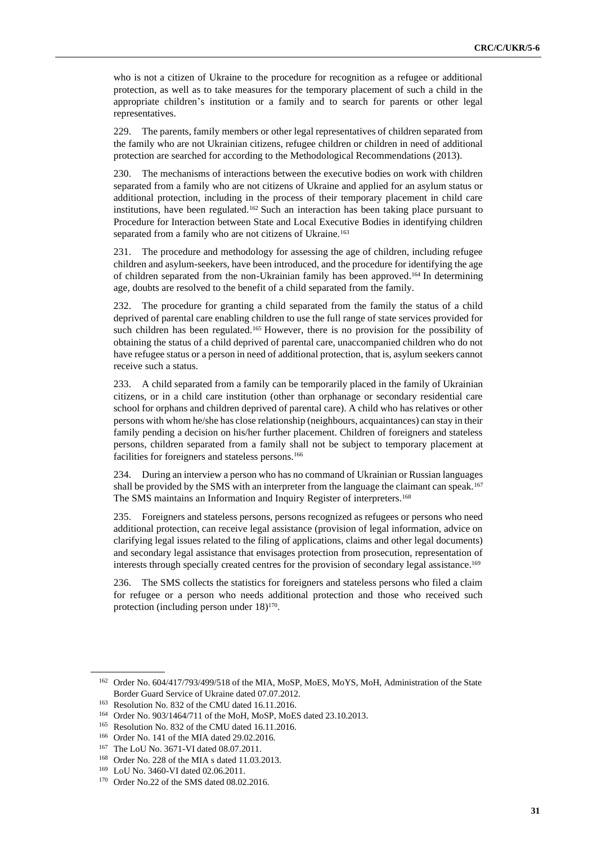who is not a citizen of Ukraine to the procedure for recognition as a refugee or additional protection, as well as to take measures for the temporary placement of such a child in the appropriate children's institution or a family and to search for parents or other legal representatives.

229. The parents, family members or other legal representatives of children separated from the family who are not Ukrainian citizens, refugee children or children in need of additional protection are searched for according to the Methodological Recommendations (2013).

The mechanisms of interactions between the executive bodies on work with children separated from a family who are not citizens of Ukraine and applied for an asylum status or additional protection, including in the process of their temporary placement in child care institutions, have been regulated.<sup>162</sup> Such an interaction has been taking place pursuant to Procedure for Interaction between State and Local Executive Bodies in identifying children separated from a family who are not citizens of Ukraine.<sup>163</sup>

231. The procedure and methodology for assessing the age of children, including refugee children and asylum-seekers, have been introduced, and the procedure for identifying the age of children separated from the non-Ukrainian family has been approved.<sup>164</sup> In determining age, doubts are resolved to the benefit of a child separated from the family.

232. The procedure for granting a child separated from the family the status of a child deprived of parental care enabling children to use the full range of state services provided for such children has been regulated.<sup>165</sup> However, there is no provision for the possibility of obtaining the status of a child deprived of parental care, unaccompanied children who do not have refugee status or a person in need of additional protection, that is, asylum seekers cannot receive such a status.

233. A child separated from a family can be temporarily placed in the family of Ukrainian citizens, or in a child care institution (other than orphanage or secondary residential care school for orphans and children deprived of parental care). A child who has relatives or other persons with whom he/she has close relationship (neighbours, acquaintances) can stay in their family pending a decision on his/her further placement. Children of foreigners and stateless persons, children separated from a family shall not be subject to temporary placement at facilities for foreigners and stateless persons.<sup>166</sup>

234. During an interview a person who has no command of Ukrainian or Russian languages shall be provided by the SMS with an interpreter from the language the claimant can speak.<sup>167</sup> The SMS maintains an Information and Inquiry Register of interpreters.<sup>168</sup>

235. Foreigners and stateless persons, persons recognized as refugees or persons who need additional protection, can receive legal assistance (provision of legal information, advice on clarifying legal issues related to the filing of applications, claims and other legal documents) and secondary legal assistance that envisages protection from prosecution, representation of interests through specially created centres for the provision of secondary legal assistance.<sup>169</sup>

236. The SMS collects the statistics for foreigners and stateless persons who filed a claim for refugee or a person who needs additional protection and those who received such protection (including person under 18)<sup>170</sup>.

<sup>&</sup>lt;sup>162</sup> Order No. 604/417/793/499/518 of the MIA, MoSP, MoES, MoYS, MoH, Administration of the State Border Guard Service of Ukraine dated 07.07.2012.

<sup>163</sup> Resolution No. 832 of the CMU dated 16.11.2016.

<sup>164</sup> Order No. 903/1464/711 of the MoH, MoSP, MoES dated 23.10.2013.

<sup>165</sup> Resolution No. 832 of the CMU dated 16.11.2016.

<sup>166</sup> Order No. 141 of the MIA dated 29.02.2016.

<sup>167</sup> The LoU No. 3671-VI dated 08.07.2011.

<sup>168</sup> Order No. 228 of the MIA s dated 11.03.2013.

<sup>169</sup> LoU No. 3460-VI dated 02.06.2011.

<sup>170</sup> Order No.22 of the SMS dated 08.02.2016.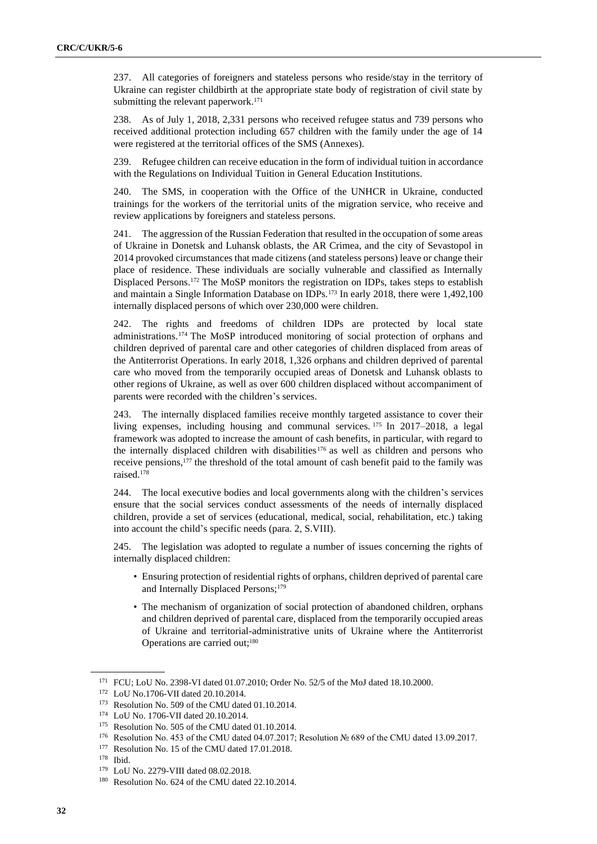237. All categories of foreigners and stateless persons who reside/stay in the territory of Ukraine can register childbirth at the appropriate state body of registration of civil state by submitting the relevant paperwork.<sup>171</sup>

238. As of July 1, 2018, 2,331 persons who received refugee status and 739 persons who received additional protection including 657 children with the family under the age of 14 were registered at the territorial offices of the SMS (Annexes).

239. Refugee children can receive education in the form of individual tuition in accordance with the Regulations on Individual Tuition in General Education Institutions.

240. The SMS, in cooperation with the Office of the UNHCR in Ukraine, conducted trainings for the workers of the territorial units of the migration service, who receive and review applications by foreigners and stateless persons.

241. The aggression of the Russian Federation that resulted in the occupation of some areas of Ukraine in Donetsk and Luhansk oblasts, the AR Crimea, and the city of Sevastopol in 2014 provoked circumstances that made citizens (and stateless persons) leave or change their place of residence. These individuals are socially vulnerable and classified as Internally Displaced Persons.<sup>172</sup> The MoSP monitors the registration on IDPs, takes steps to establish and maintain a Single Information Database on IDPs.<sup>173</sup> In early 2018, there were 1,492,100 internally displaced persons of which over 230,000 were children.

242. The rights and freedoms of children IDPs are protected by local state administrations.<sup>174</sup> The MoSP introduced monitoring of social protection of orphans and children deprived of parental care and other categories of children displaced from areas of the Antiterrorist Operations. In early 2018, 1,326 orphans and children deprived of parental care who moved from the temporarily occupied areas of Donetsk and Luhansk oblasts to other regions of Ukraine, as well as over 600 children displaced without accompaniment of parents were recorded with the children's services.

243. The internally displaced families receive monthly targeted assistance to cover their living expenses, including housing and communal services. <sup>175</sup> In 2017–2018, a legal framework was adopted to increase the amount of cash benefits, in particular, with regard to the internally displaced children with disabilities<sup>176</sup> as well as children and persons who receive pensions,<sup>177</sup> the threshold of the total amount of cash benefit paid to the family was raised.<sup>178</sup>

244. The local executive bodies and local governments along with the children's services ensure that the social services conduct assessments of the needs of internally displaced children, provide a set of services (educational, medical, social, rehabilitation, etc.) taking into account the child's specific needs (para. 2, S.VIII).

245. The legislation was adopted to regulate a number of issues concerning the rights of internally displaced children:

- Ensuring protection of residential rights of orphans, children deprived of parental care and Internally Displaced Persons;<sup>179</sup>
- The mechanism of organization of social protection of abandoned children, orphans and children deprived of parental care, displaced from the temporarily occupied areas of Ukraine and territorial-administrative units of Ukraine where the Antiterrorist Operations are carried out;<sup>180</sup>

<sup>171</sup> FCU; LoU No. 2398-VI dated 01.07.2010; Order No. 52/5 of the MoJ dated 18.10.2000.

<sup>172</sup> LoU No.1706-VII dated 20.10.2014.

<sup>173</sup> Resolution No. 509 of the CMU dated 01.10.2014.

<sup>174</sup> LoU No. 1706-VII dated 20.10.2014.

<sup>175</sup> Resolution No. 505 of the CMU dated 01.10.2014.

<sup>176</sup> Resolution No. 453 of the CMU dated 04.07.2017; Resolution № 689 of the CMU dated 13.09.2017.

<sup>&</sup>lt;sup>177</sup> Resolution No. 15 of the CMU dated 17.01.2018.

<sup>178</sup> Ibid.

<sup>179</sup> LoU No. 2279-VIII dated 08.02.2018.

<sup>180</sup> Resolution No. 624 of the CMU dated 22.10.2014.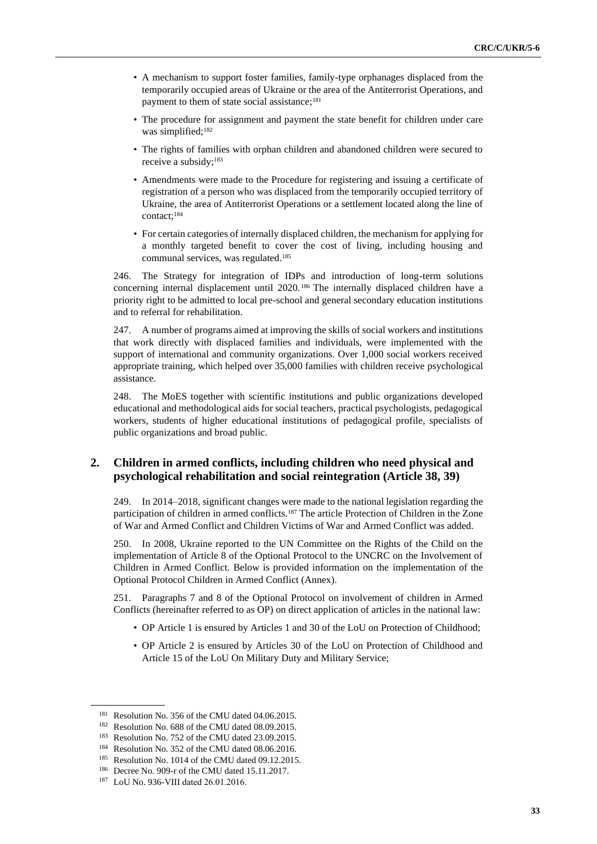- A mechanism to support foster families, family-type orphanages displaced from the temporarily occupied areas of Ukraine or the area of the Antiterrorist Operations, and payment to them of state social assistance;<sup>181</sup>
- The procedure for assignment and payment the state benefit for children under care was simplified;<sup>182</sup>
- The rights of families with orphan children and abandoned children were secured to receive a subsidy;<sup>183</sup>
- Amendments were made to the Procedure for registering and issuing a certificate of registration of a person who was displaced from the temporarily occupied territory of Ukraine, the area of Antiterrorist Operations or a settlement located along the line of contact;<sup>184</sup>
- For certain categories of internally displaced children, the mechanism for applying for a monthly targeted benefit to cover the cost of living, including housing and communal services, was regulated.<sup>185</sup>

246. The Strategy for integration of IDPs and introduction of long-term solutions concerning internal displacement until 2020. <sup>186</sup> The internally displaced children have a priority right to be admitted to local pre-school and general secondary education institutions and to referral for rehabilitation.

247. A number of programs aimed at improving the skills of social workers and institutions that work directly with displaced families and individuals, were implemented with the support of international and community organizations. Over 1,000 social workers received appropriate training, which helped over 35,000 families with children receive psychological assistance.

248. The MoES together with scientific institutions and public organizations developed educational and methodological aids for social teachers, practical psychologists, pedagogical workers, students of higher educational institutions of pedagogical profile, specialists of public organizations and broad public.

### **2. Children in armed conflicts, including children who need physical and psychological rehabilitation and social reintegration (Article 38, 39)**

249. In 2014–2018, significant changes were made to the national legislation regarding the participation of children in armed conflicts.<sup>187</sup> The article Protection of Children in the Zone of War and Armed Conflict and Children Victims of War and Armed Conflict was added.

250. In 2008, Ukraine reported to the UN Committee on the Rights of the Child on the implementation of Article 8 of the Optional Protocol to the UNCRC on the Involvement of Children in Armed Conflict. Below is provided information on the implementation of the Optional Protocol Children in Armed Conflict (Annex).

251. Paragraphs 7 and 8 of the Optional Protocol on involvement of children in Armed Conflicts (hereinafter referred to as OP) on direct application of articles in the national law:

- OP Article 1 is ensured by Articles 1 and 30 of the LoU on Protection of Childhood;
- OP Article 2 is ensured by Articles 30 of the LoU on Protection of Childhood and Article 15 of the LoU On Military Duty and Military Service;

<sup>&</sup>lt;sup>181</sup> Resolution No. 356 of the CMU dated 04.06.2015.

<sup>182</sup> Resolution No. 688 of the CMU dated 08.09.2015.

<sup>183</sup> Resolution No. 752 of the CMU dated 23.09.2015.

<sup>&</sup>lt;sup>184</sup> Resolution No. 352 of the CMU dated 08.06.2016.

<sup>&</sup>lt;sup>185</sup> Resolution No. 1014 of the CMU dated 09.12.2015.

<sup>186</sup> Decree No. 909-r of the CMU dated 15.11.2017.

<sup>187</sup> LoU No. 936-VIІІ dated 26.01.2016.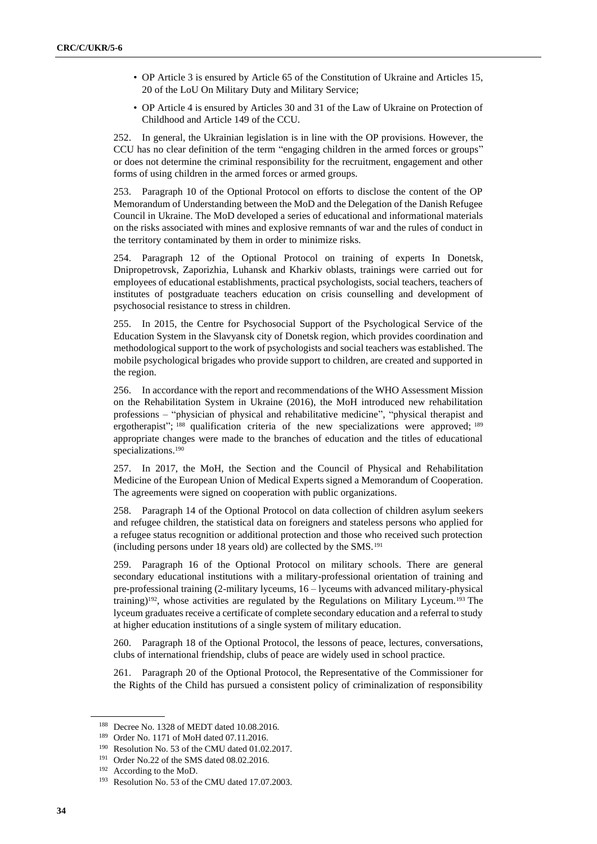- OP Article 3 is ensured by Article 65 of the Constitution of Ukraine and Articles 15, 20 of the LoU On Military Duty and Military Service;
- OP Article 4 is ensured by Articles 30 and 31 of the Law of Ukraine on Protection of Childhood and Article 149 of the CCU.

252. In general, the Ukrainian legislation is in line with the OP provisions. However, the CCU has no clear definition of the term "engaging children in the armed forces or groups" or does not determine the criminal responsibility for the recruitment, engagement and other forms of using children in the armed forces or armed groups.

253. Paragraph 10 of the Optional Protocol on efforts to disclose the content of the OP Memorandum of Understanding between the MoD and the Delegation of the Danish Refugee Council in Ukraine. The MoD developed a series of educational and informational materials on the risks associated with mines and explosive remnants of war and the rules of conduct in the territory contaminated by them in order to minimize risks.

254. Paragraph 12 of the Optional Protocol on training of experts In Donetsk, Dnipropetrovsk, Zaporizhia, Luhansk and Kharkiv oblasts, trainings were carried out for employees of educational establishments, practical psychologists, social teachers, teachers of institutes of postgraduate teachers education on crisis counselling and development of psychosocial resistance to stress in children.

255. In 2015, the Centre for Psychosocial Support of the Psychological Service of the Education System in the Slavyansk city of Donetsk region, which provides coordination and methodological support to the work of psychologists and social teachers was established. The mobile psychological brigades who provide support to children, are created and supported in the region.

256. In accordance with the report and recommendations of the WHO Assessment Mission on the Rehabilitation System in Ukraine (2016), the MoH introduced new rehabilitation professions – "physician of physical and rehabilitative medicine", "physical therapist and ergotherapist"; <sup>188</sup> qualification criteria of the new specializations were approved; <sup>189</sup> appropriate changes were made to the branches of education and the titles of educational specializations.<sup>190</sup>

257. In 2017, the MoH, the Section and the Council of Physical and Rehabilitation Medicine of the European Union of Medical Experts signed a Memorandum of Cooperation. The agreements were signed on cooperation with public organizations.

258. Paragraph 14 of the Optional Protocol on data collection of children asylum seekers and refugee children, the statistical data on foreigners and stateless persons who applied for a refugee status recognition or additional protection and those who received such protection (including persons under 18 years old) are collected by the SMS.<sup>191</sup>

259. Paragraph 16 of the Optional Protocol on military schools. There are general secondary educational institutions with a military-professional orientation of training and pre-professional training (2-military lyceums, 16 – lyceums with advanced military-physical training)<sup>192</sup>, whose activities are regulated by the Regulations on Military Lyceum.<sup>193</sup> The lyceum graduates receive a certificate of complete secondary education and a referral to study at higher education institutions of a single system of military education.

260. Paragraph 18 of the Optional Protocol, the lessons of peace, lectures, conversations, clubs of international friendship, clubs of peace are widely used in school practice.

261. Paragraph 20 of the Optional Protocol, the Representative of the Commissioner for the Rights of the Child has pursued a consistent policy of criminalization of responsibility

<sup>188</sup> Decree No. 1328 of MEDT dated 10.08.2016.

<sup>189</sup> Order No. 1171 of MoH dated 07.11.2016.

<sup>190</sup> Resolution No. 53 of the CMU dated 01.02.2017.

<sup>&</sup>lt;sup>191</sup> Order No.22 of the SMS dated 08.02.2016.

<sup>192</sup> According to the MoD.

<sup>&</sup>lt;sup>193</sup> Resolution No. 53 of the CMU dated 17.07.2003.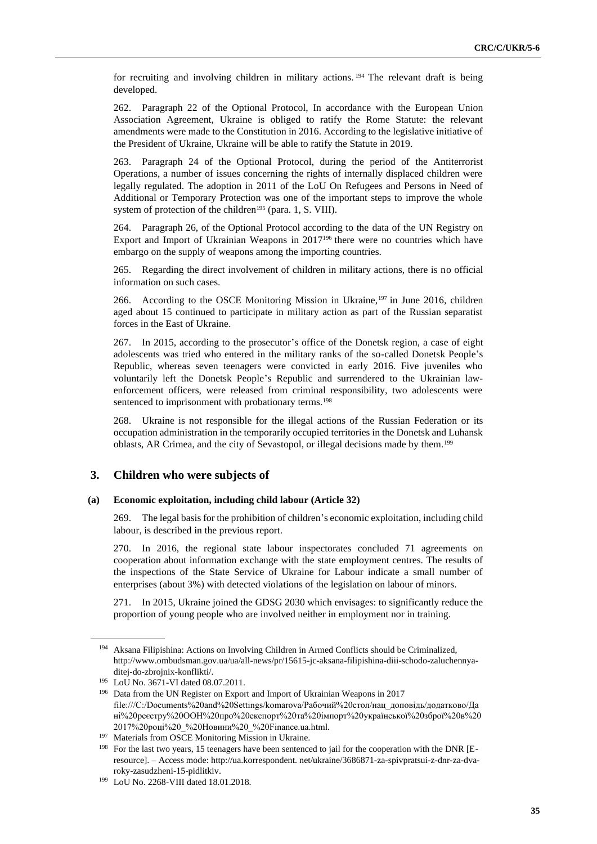for recruiting and involving children in military actions. <sup>194</sup> The relevant draft is being developed.

262. Paragraph 22 of the Optional Protocol, In accordance with the European Union Association Agreement, Ukraine is obliged to ratify the Rome Statute: the relevant amendments were made to the Constitution in 2016. According to the legislative initiative of the President of Ukraine, Ukraine will be able to ratify the Statute in 2019.

263. Paragraph 24 of the Optional Protocol, during the period of the Antiterrorist Operations, a number of issues concerning the rights of internally displaced children were legally regulated. The adoption in 2011 of the LoU On Refugees and Persons in Need of Additional or Temporary Protection was one of the important steps to improve the whole system of protection of the children<sup>195</sup> (para. 1, S. VIII).

264. Paragraph 26, of the Optional Protocol according to the data of the UN Registry on Export and Import of Ukrainian Weapons in 2017<sup>196</sup> there were no countries which have embargo on the supply of weapons among the importing countries.

265. Regarding the direct involvement of children in military actions, there is no official information on such cases.

266. According to the OSCE Monitoring Mission in Ukraine,<sup>197</sup> in June 2016, children aged about 15 continued to participate in military action as part of the Russian separatist forces in the East of Ukraine.

267. In 2015, according to the prosecutor's office of the Donetsk region, a case of eight adolescents was tried who entered in the military ranks of the so-called Donetsk People's Republic, whereas seven teenagers were convicted in early 2016. Five juveniles who voluntarily left the Donetsk People's Republic and surrendered to the Ukrainian lawenforcement officers, were released from criminal responsibility, two adolescents were sentenced to imprisonment with probationary terms.<sup>198</sup>

268. Ukraine is not responsible for the illegal actions of the Russian Federation or its occupation administration in the temporarily occupied territories in the Donetsk and Luhansk oblasts, AR Crimea, and the city of Sevastopol, or illegal decisions made by them.<sup>199</sup>

#### **3. Children who were subjects of**

#### **(a) Economic exploitation, including child labour (Article 32)**

269. The legal basis for the prohibition of children's economic exploitation, including child labour, is described in the previous report.

270. In 2016, the regional state labour inspectorates concluded 71 agreements on cooperation about information exchange with the state employment centres. The results of the inspections of the State Service of Ukraine for Labour indicate a small number of enterprises (about 3%) with detected violations of the legislation on labour of minors.

271. In 2015, Ukraine joined the GDSG 2030 which envisages: to significantly reduce the proportion of young people who are involved neither in employment nor in training.

<sup>194</sup> Aksana Filipishina: Actions on Involving Children in Armed Conflicts should be Criminalized, http://www.ombudsman.gov.ua/ua/all-news/pr/15615-jc-aksana-filipishina-diii-schodo-zaluchennyaditej-do-zbrojnix-konflikti/.

<sup>195</sup> LoU No. 3671-VI dated 08.07.2011.

<sup>196</sup> Data from the UN Register on Export and Import of Ukrainian Weapons in 2017 file:///C:/Documents%20and%20Settings/komarova/Рабочий%20стол/нац\_доповідь/додатково/Да ні%20реєстру%20ООН%20про%20експорт%20та%20імпорт%20української%20зброї%20в%20 2017%20році%20\_%20Новини%20\_%20Finance.ua.html.

<sup>197</sup> Materials from OSCE Monitoring Mission in Ukraine.

<sup>&</sup>lt;sup>198</sup> For the last two years, 15 teenagers have been sentenced to jail for the cooperation with the DNR [Eresource]. – Access mode: http://ua.korrespondent. net/ukraine/3686871-za-spivpratsui-z-dnr-za-dvaroky-zasudzheni-15-pidlitkiv.

<sup>199</sup> LoU No. 2268-VIII dated 18.01.2018.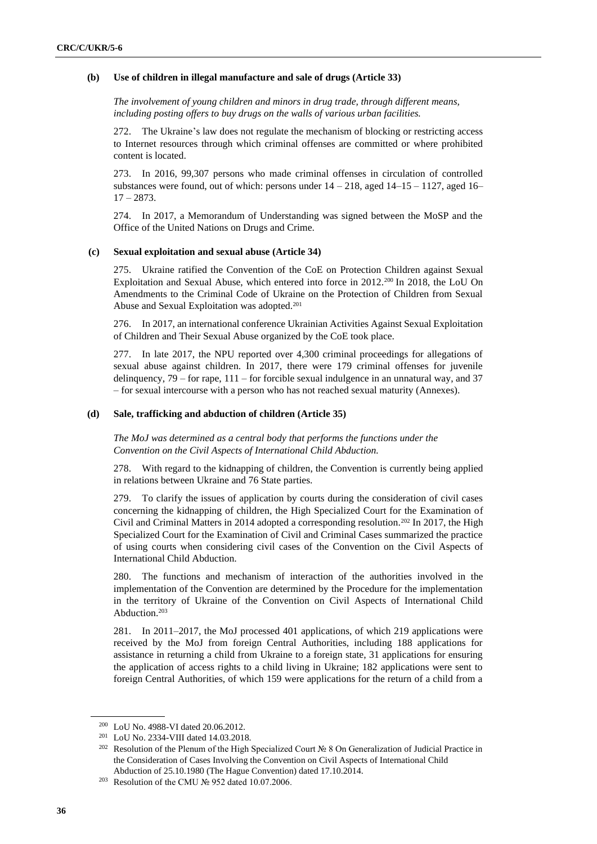#### **(b) Use of children in illegal manufacture and sale of drugs (Article 33)**

*The involvement of young children and minors in drug trade, through different means, including posting offers to buy drugs on the walls of various urban facilities.* 

272. The Ukraine's law does not regulate the mechanism of blocking or restricting access to Internet resources through which criminal offenses are committed or where prohibited content is located.

273. In 2016, 99,307 persons who made criminal offenses in circulation of controlled substances were found, out of which: persons under  $14 - 218$ , aged  $14 - 15 - 1127$ , aged  $16 - 16$  $17 - 2873$ .

274. In 2017, a Memorandum of Understanding was signed between the MoSP and the Office of the United Nations on Drugs and Crime.

#### **(c) Sexual exploitation and sexual abuse (Article 34)**

275. Ukraine ratified the Convention of the CoE on Protection Children against Sexual Exploitation and Sexual Abuse, which entered into force in 2012.<sup>200</sup> In 2018, the LoU On Amendments to the Criminal Code of Ukraine on the Protection of Children from Sexual Abuse and Sexual Exploitation was adopted.<sup>201</sup>

276. In 2017, an international conference Ukrainian Activities Against Sexual Exploitation of Children and Their Sexual Abuse organized by the CoE took place.

277. In late 2017, the NPU reported over 4,300 criminal proceedings for allegations of sexual abuse against children. In 2017, there were 179 criminal offenses for juvenile delinquency, 79 – for rape, 111 – for forcible sexual indulgence in an unnatural way, and 37 – for sexual intercourse with a person who has not reached sexual maturity (Annexes).

#### **(d) Sale, trafficking and abduction of children (Article 35)**

*The MoJ was determined as a central body that performs the functions under the Convention on the Civil Aspects of International Child Abduction.* 

278. With regard to the kidnapping of children, the Convention is currently being applied in relations between Ukraine and 76 State parties.

279. To clarify the issues of application by courts during the consideration of civil cases concerning the kidnapping of children, the High Specialized Court for the Examination of Civil and Criminal Matters in 2014 adopted a corresponding resolution.<sup>202</sup> In 2017, the High Specialized Court for the Examination of Civil and Criminal Cases summarized the practice of using courts when considering civil cases of the Convention on the Civil Aspects of International Child Abduction.

280. The functions and mechanism of interaction of the authorities involved in the implementation of the Convention are determined by the Procedure for the implementation in the territory of Ukraine of the Convention on Civil Aspects of International Child Abduction.<sup>203</sup>

281. In 2011–2017, the MoJ processed 401 applications, of which 219 applications were received by the MoJ from foreign Central Authorities, including 188 applications for assistance in returning a child from Ukraine to a foreign state, 31 applications for ensuring the application of access rights to a child living in Ukraine; 182 applications were sent to foreign Central Authorities, of which 159 were applications for the return of a child from a

<sup>200</sup> LoU No. 4988-VI dated 20.06.2012.

<sup>201</sup> LoU No. 2334-VIII dated 14.03.2018.

<sup>&</sup>lt;sup>202</sup> Resolution of the Plenum of the High Specialized Court № 8 On Generalization of Judicial Practice in the Consideration of Cases Involving the Convention on Civil Aspects of International Child Abduction of 25.10.1980 (The Hague Convention) dated 17.10.2014.

<sup>203</sup> Resolution of the CMU № 952 dated 10.07.2006.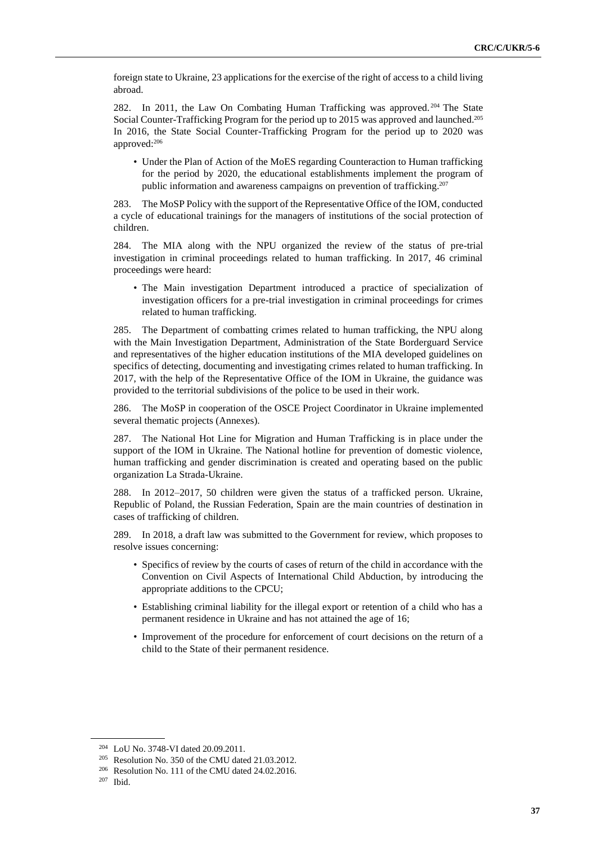foreign state to Ukraine, 23 applications for the exercise of the right of access to a child living abroad.

282. In 2011, the Law On Combating Human Trafficking was approved. <sup>204</sup> The State Social Counter-Trafficking Program for the period up to 2015 was approved and launched.<sup>205</sup> In 2016, the State Social Counter-Trafficking Program for the period up to 2020 was approved:<sup>206</sup>

• Under the Plan of Action of the MoES regarding Counteraction to Human trafficking for the period by 2020, the educational establishments implement the program of public information and awareness campaigns on prevention of trafficking.<sup>207</sup>

283. The MoSP Policy with the support of the Representative Office of the IOM, conducted a cycle of educational trainings for the managers of institutions of the social protection of children.

284. The MIA along with the NPU organized the review of the status of pre-trial investigation in criminal proceedings related to human trafficking. In 2017, 46 criminal proceedings were heard:

• The Main investigation Department introduced a practice of specialization of investigation officers for a pre-trial investigation in criminal proceedings for crimes related to human trafficking.

285. The Department of combatting crimes related to human trafficking, the NPU along with the Main Investigation Department, Administration of the State Borderguard Service and representatives of the higher education institutions of the MIA developed guidelines on specifics of detecting, documenting and investigating crimes related to human trafficking. In 2017, with the help of the Representative Office of the IOM in Ukraine, the guidance was provided to the territorial subdivisions of the police to be used in their work.

286. The MoSP in cooperation of the OSCE Project Coordinator in Ukraine implemented several thematic projects (Annexes).

287. The National Hot Line for Migration and Human Trafficking is in place under the support of the IOM in Ukraine. The National hotline for prevention of domestic violence, human trafficking and gender discrimination is created and operating based on the public organization La Strada-Ukraine.

288. In 2012–2017, 50 children were given the status of a trafficked person. Ukraine, Republic of Poland, the Russian Federation, Spain are the main countries of destination in cases of trafficking of children.

289. In 2018, a draft law was submitted to the Government for review, which proposes to resolve issues concerning:

- Specifics of review by the courts of cases of return of the child in accordance with the Convention on Civil Aspects of International Child Abduction, by introducing the appropriate additions to the CPCU;
- Establishing criminal liability for the illegal export or retention of a child who has a permanent residence in Ukraine and has not attained the age of 16;
- Improvement of the procedure for enforcement of court decisions on the return of a child to the State of their permanent residence.

<sup>204</sup> LoU No. 3748-VI dated 20.09.2011.

<sup>205</sup> Resolution No. 350 of the CMU dated 21.03.2012.

<sup>206</sup> Resolution No. 111 of the CMU dated 24.02.2016.

<sup>207</sup> Ibid.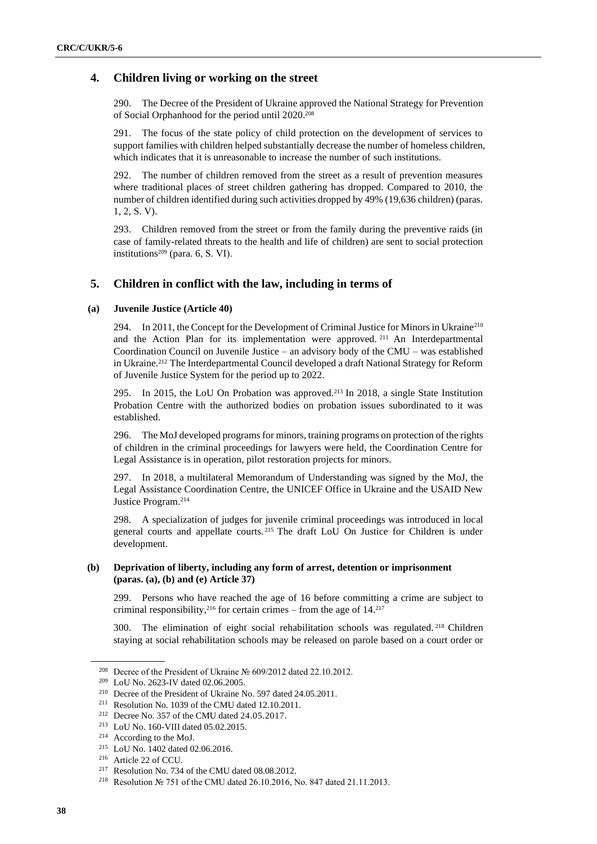### **4. Children living or working on the street**

290. The Decree of the President of Ukraine approved the National Strategy for Prevention of Social Orphanhood for the period until 2020.<sup>208</sup>

291. The focus of the state policy of child protection on the development of services to support families with children helped substantially decrease the number of homeless children, which indicates that it is unreasonable to increase the number of such institutions.

292. The number of children removed from the street as a result of prevention measures where traditional places of street children gathering has dropped. Compared to 2010, the number of children identified during such activities dropped by 49% (19,636 children) (paras. 1, 2, S. V).

293. Children removed from the street or from the family during the preventive raids (in case of family-related threats to the health and life of children) are sent to social protection institutions $209$  (para. 6, S. VI).

#### **5. Children in conflict with the law, including in terms of**

#### **(a) Juvenile Justice (Article 40)**

294. In 2011, the Concept for the Development of Criminal Justice for Minors in Ukraine<sup>210</sup> and the Action Plan for its implementation were approved. <sup>211</sup> An Interdepartmental Coordination Council on Juvenile Justice – an advisory body of the CMU – was established in Ukraine.<sup>212</sup> The Interdepartmental Council developed a draft National Strategy for Reform of Juvenile Justice System for the period up to 2022.

295. In 2015, the LoU On Probation was approved.<sup>213</sup> In 2018, a single State Institution Probation Centre with the authorized bodies on probation issues subordinated to it was established.

296. The MoJ developed programs for minors, training programs on protection of the rights of children in the criminal proceedings for lawyers were held, the Coordination Centre for Legal Assistance is in operation, pilot restoration projects for minors.

297. In 2018, a multilateral Memorandum of Understanding was signed by the MoJ, the Legal Assistance Coordination Centre, the UNICEF Office in Ukraine and the USAID New Justice Program.<sup>214</sup>

298. A specialization of judges for juvenile criminal proceedings was introduced in local general courts and appellate courts. <sup>215</sup> The draft LoU On Justice for Children is under development.

#### **(b) Deprivation of liberty, including any form of arrest, detention or imprisonment (paras. (a), (b) and (e) Article 37)**

299. Persons who have reached the age of 16 before committing a crime are subject to criminal responsibility,  $2^{16}$  for certain crimes – from the age of 14. $2^{17}$ 

300. The elimination of eight social rehabilitation schools was regulated. <sup>218</sup> Children staying at social rehabilitation schools may be released on parole based on a court order or

<sup>208</sup> Decree of the President of Ukraine № 609/2012 dated 22.10.2012.

<sup>209</sup> LoU No. 2623-IV dated 02.06.2005.

<sup>210</sup> Decree of the President of Ukraine No. 597 dated 24.05.2011.

<sup>211</sup> Resolution No. 1039 of the CMU dated 12.10.2011.

<sup>212</sup> Decree No. 357 of the CMU dated 24.05.2017.

<sup>213</sup> LoU No. 160-VIII dated 05.02.2015.

<sup>214</sup> According to the MoJ.

<sup>215</sup> LoU No. 1402 dated 02.06.2016.

<sup>216</sup> Article 22 of CCU.

<sup>217</sup> Resolution No. 734 of the CMU dated 08.08.2012.

<sup>218</sup> Resolution № 751 of the CMU dated 26.10.2016, No. 847 dated 21.11.2013.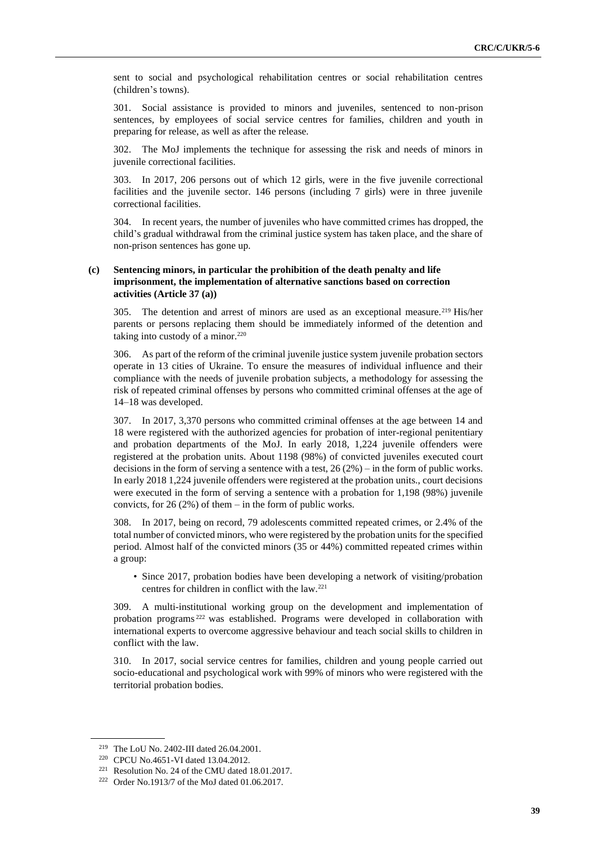sent to social and psychological rehabilitation centres or social rehabilitation centres (children's towns).

301. Social assistance is provided to minors and juveniles, sentenced to non-prison sentences, by employees of social service centres for families, children and youth in preparing for release, as well as after the release.

302. The MoJ implements the technique for assessing the risk and needs of minors in juvenile correctional facilities.

303. In 2017, 206 persons out of which 12 girls, were in the five juvenile correctional facilities and the juvenile sector. 146 persons (including 7 girls) were in three juvenile correctional facilities.

304. In recent years, the number of juveniles who have committed crimes has dropped, the child's gradual withdrawal from the criminal justice system has taken place, and the share of non-prison sentences has gone up.

#### **(c) Sentencing minors, in particular the prohibition of the death penalty and life imprisonment, the implementation of alternative sanctions based on correction activities (Article 37 (a))**

305. The detention and arrest of minors are used as an exceptional measure.<sup>219</sup> His/her parents or persons replacing them should be immediately informed of the detention and taking into custody of a minor. $220$ 

306. As part of the reform of the criminal juvenile justice system juvenile probation sectors operate in 13 cities of Ukraine. To ensure the measures of individual influence and their compliance with the needs of juvenile probation subjects, a methodology for assessing the risk of repeated criminal offenses by persons who committed criminal offenses at the age of 14–18 was developed.

307. In 2017, 3,370 persons who committed criminal offenses at the age between 14 and 18 were registered with the authorized agencies for probation of inter-regional penitentiary and probation departments of the MoJ. In early 2018, 1,224 juvenile offenders were registered at the probation units. About 1198 (98%) of convicted juveniles executed court decisions in the form of serving a sentence with a test, 26 (2%) – in the form of public works. In early 2018 1,224 juvenile offenders were registered at the probation units., court decisions were executed in the form of serving a sentence with a probation for 1,198 (98%) juvenile convicts, for  $26 (2%)$  of them – in the form of public works.

308. In 2017, being on record, 79 adolescents committed repeated crimes, or 2.4% of the total number of convicted minors, who were registered by the probation units for the specified period. Almost half of the convicted minors (35 or 44%) committed repeated crimes within a group:

• Since 2017, probation bodies have been developing a network of visiting/probation centres for children in conflict with the law.<sup>221</sup>

309. A multi-institutional working group on the development and implementation of probation programs <sup>222</sup> was established. Programs were developed in collaboration with international experts to overcome aggressive behaviour and teach social skills to children in conflict with the law.

310. In 2017, social service centres for families, children and young people carried out socio-educational and psychological work with 99% of minors who were registered with the territorial probation bodies.

<sup>219</sup> The LoU No. 2402-III dated 26.04.2001.

<sup>220</sup> CPCU No.4651-VI dated 13.04.2012.

<sup>221</sup> Resolution No. 24 of the CMU dated 18.01.2017.

<sup>222</sup> Order No.1913/7 of the MoJ dated 01.06.2017.